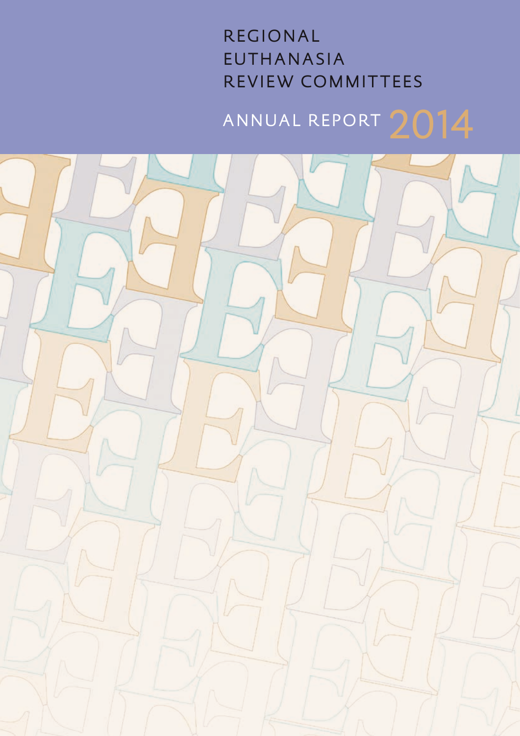# R EGIONAL EUTHANASIA REVIEW COMMITTEES

# ANNUAL REPORT 2014

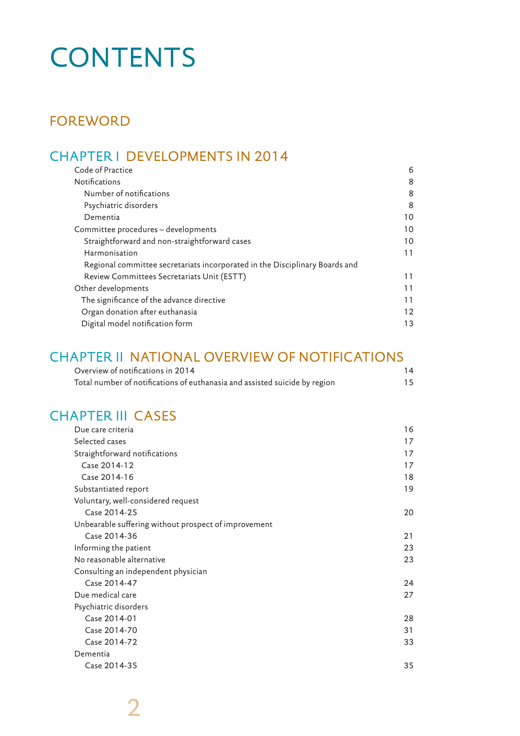# **CONTENTS**

# FOREWORD

# CHAPTER I DEVELOPMENTS IN 2014

| Code of Practice                                                            | 6  |
|-----------------------------------------------------------------------------|----|
| <b>Notifications</b>                                                        | 8  |
| Number of notifications                                                     | 8  |
| Psychiatric disorders                                                       | 8  |
| Dementia                                                                    | 10 |
| Committee procedures - developments                                         | 10 |
| Straightforward and non-straightforward cases                               | 10 |
| Harmonisation                                                               | 11 |
| Regional committee secretariats incorporated in the Disciplinary Boards and |    |
| Review Committees Secretariats Unit (ESTT)                                  | 11 |
| Other developments                                                          | 11 |
| The significance of the advance directive                                   | 11 |
| Organ donation after euthanasia                                             | 12 |
| Digital model notification form                                             | 13 |

# CHAPTER II NATIONAL OVERVIEW OF NOTIFICATIONS

| Overview of notifications in 2014                                          | 14 |
|----------------------------------------------------------------------------|----|
| Total number of notifications of euthanasia and assisted suicide by region | 15 |

# CHAPTER III CASES

| Due care criteria                                    | 16 |
|------------------------------------------------------|----|
| Selected cases                                       | 17 |
| Straightforward notifications                        | 17 |
| Case 2014-12                                         | 17 |
| Case 2014-16                                         | 18 |
| Substantiated report                                 | 19 |
| Voluntary, well-considered request                   |    |
| Case 2014-25                                         | 20 |
| Unbearable suffering without prospect of improvement |    |
| Case 2014-36                                         | 21 |
| Informing the patient                                | 23 |
| No reasonable alternative                            | 23 |
| Consulting an independent physician                  |    |
| Case 2014-47                                         | 24 |
| Due medical care                                     | 27 |
| Psychiatric disorders                                |    |
| Case 2014-01                                         | 28 |
| Case 2014-70                                         | 31 |
| Case 2014-72                                         | 33 |
| Dementia                                             |    |
| Case 2014-35                                         | 35 |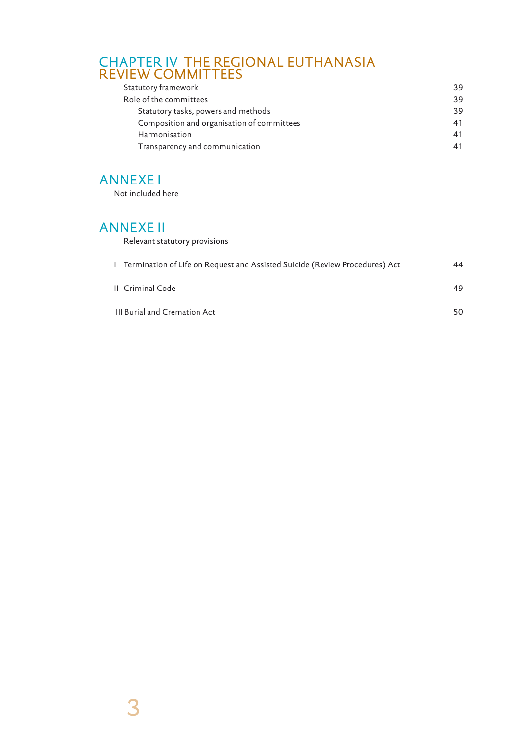# CHAPTER IV THE REGIONAL EUTHANASIA REVIEW COMMITTEES

| Statutory framework                        | 39 |
|--------------------------------------------|----|
| Role of the committees                     | 39 |
| Statutory tasks, powers and methods        | 39 |
| Composition and organisation of committees | 41 |
| Harmonisation                              | 41 |
| Transparency and communication             |    |

# ANNEXE I

Not included here

# ANNEXE II

Relevant statutory provisions

| 1 Termination of Life on Request and Assisted Suicide (Review Procedures) Act | 44  |
|-------------------------------------------------------------------------------|-----|
| II Criminal Code                                                              | 49. |
| III Burial and Cremation Act                                                  | 50. |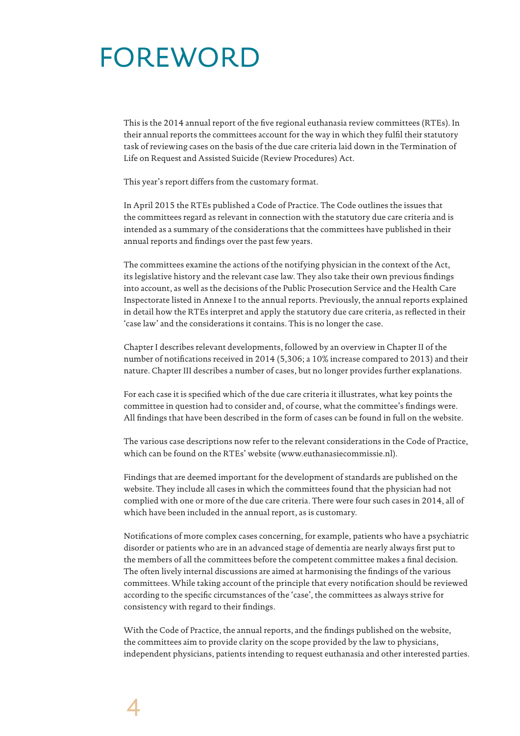# FOREWORD

This is the 2014 annual report of the five regional euthanasia review committees (RTEs). In their annual reports the committees account for the way in which they fulfil their statutory task of reviewing cases on the basis of the due care criteria laid down in the Termination of Life on Request and Assisted Suicide (Review Procedures) Act.

This year's report differs from the customary format.

In April 2015 the RTEs published a Code of Practice. The Code outlines the issues that the committees regard as relevant in connection with the statutory due care criteria and is intended as a summary of the considerations that the committees have published in their annual reports and findings over the past few years.

The committees examine the actions of the notifying physician in the context of the Act, its legislative history and the relevant case law. They also take their own previous findings into account, as well as the decisions of the Public Prosecution Service and the Health Care Inspectorate listed in Annexe I to the annual reports. Previously, the annual reports explained in detail how the RTEs interpret and apply the statutory due care criteria, as reflected in their 'case law' and the considerations it contains. This is no longer the case.

Chapter I describes relevant developments, followed by an overview in Chapter II of the number of notifications received in 2014 (5,306; a 10% increase compared to 2013) and their nature. Chapter III describes a number of cases, but no longer provides further explanations.

For each case it is specified which of the due care criteria it illustrates, what key points the committee in question had to consider and, of course, what the committee's findings were. All findings that have been described in the form of cases can be found in full on the website.

The various case descriptions now refer to the relevant considerations in the Code of Practice, which can be found on the RTEs' website (www.euthanasiecommissie.nl).

Findings that are deemed important for the development of standards are published on the website. They include all cases in which the committees found that the physician had not complied with one or more of the due care criteria. There were four such cases in 2014, all of which have been included in the annual report, as is customary.

Notifications of more complex cases concerning, for example, patients who have a psychiatric disorder or patients who are in an advanced stage of dementia are nearly always first put to the members of all the committees before the competent committee makes a final decision. The often lively internal discussions are aimed at harmonising the findings of the various committees. While taking account of the principle that every notification should be reviewed according to the specific circumstances of the 'case', the committees as always strive for consistency with regard to their findings.

With the Code of Practice, the annual reports, and the findings published on the website, the committees aim to provide clarity on the scope provided by the law to physicians, independent physicians, patients intending to request euthanasia and other interested parties.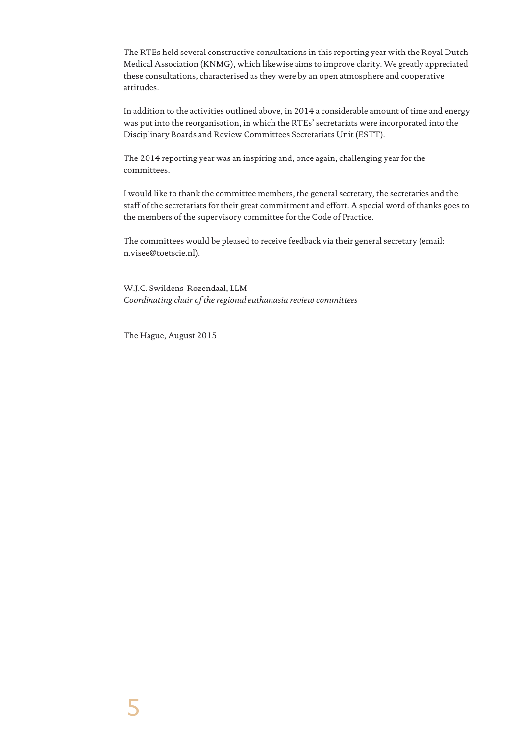The RTEs held several constructive consultations in this reporting year with the Royal Dutch Medical Association (KNMG), which likewise aims to improve clarity. We greatly appreciated these consultations, characterised as they were by an open atmosphere and cooperative attitudes.

In addition to the activities outlined above, in 2014 a considerable amount of time and energy was put into the reorganisation, in which the RTEs' secretariats were incorporated into the Disciplinary Boards and Review Committees Secretariats Unit (ESTT).

The 2014 reporting year was an inspiring and, once again, challenging year for the committees.

I would like to thank the committee members, the general secretary, the secretaries and the staff of the secretariats for their great commitment and effort. A special word of thanks goes to the members of the supervisory committee for the Code of Practice.

The committees would be pleased to receive feedback via their general secretary (email: n.visee@toetscie.nl).

W.J.C. Swildens-Rozendaal, LLM *Coordinating chair of the regional euthanasia review committees*

The Hague, August 2015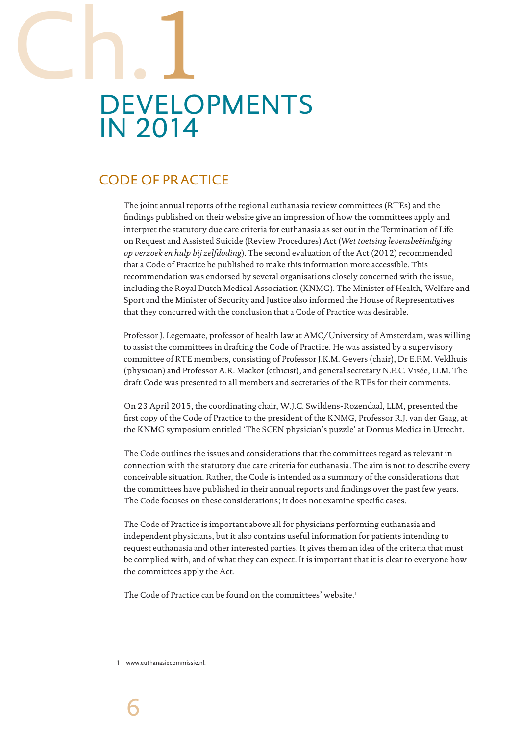# DEVELOPMENTS IN 2014 Ch.1

# CODE OF PRACTICE

The joint annual reports of the regional euthanasia review committees (RTEs) and the findings published on their website give an impression of how the committees apply and interpret the statutory due care criteria for euthanasia as set out in the Termination of Life on Request and Assisted Suicide (Review Procedures) Act (*Wet toetsing levensbeëindiging op verzoek en hulp bij zelfdoding*). The second evaluation of the Act (2012) recommended that a Code of Practice be published to make this information more accessible. This recommendation was endorsed by several organisations closely concerned with the issue, including the Royal Dutch Medical Association (KNMG). The Minister of Health, Welfare and Sport and the Minister of Security and Justice also informed the House of Representatives that they concurred with the conclusion that a Code of Practice was desirable.

Professor J. Legemaate, professor of health law at AMC/University of Amsterdam, was willing to assist the committees in drafting the Code of Practice. He was assisted by a supervisory committee of RTE members, consisting of Professor J.K.M. Gevers (chair), Dr E.F.M. Veldhuis (physician) and Professor A.R. Mackor (ethicist), and general secretary N.E.C. Visée, LLM. The draft Code was presented to all members and secretaries of the RTEs for their comments.

On 23 April 2015, the coordinating chair, W.J.C. Swildens-Rozendaal, LLM, presented the first copy of the Code of Practice to the president of the KNMG, Professor R.J. van der Gaag, at the KNMG symposium entitled 'The SCEN physician's puzzle' at Domus Medica in Utrecht.

The Code outlines the issues and considerations that the committees regard as relevant in connection with the statutory due care criteria for euthanasia. The aim is not to describe every conceivable situation. Rather, the Code is intended as a summary of the considerations that the committees have published in their annual reports and findings over the past few years. The Code focuses on these considerations; it does not examine specific cases.

The Code of Practice is important above all for physicians performing euthanasia and independent physicians, but it also contains useful information for patients intending to request euthanasia and other interested parties. It gives them an idea of the criteria that must be complied with, and of what they can expect. It is important that it is clear to everyone how the committees apply the Act.

The Code of Practice can be found on the committees' website.1

1 www.euthanasiecommissie.nl.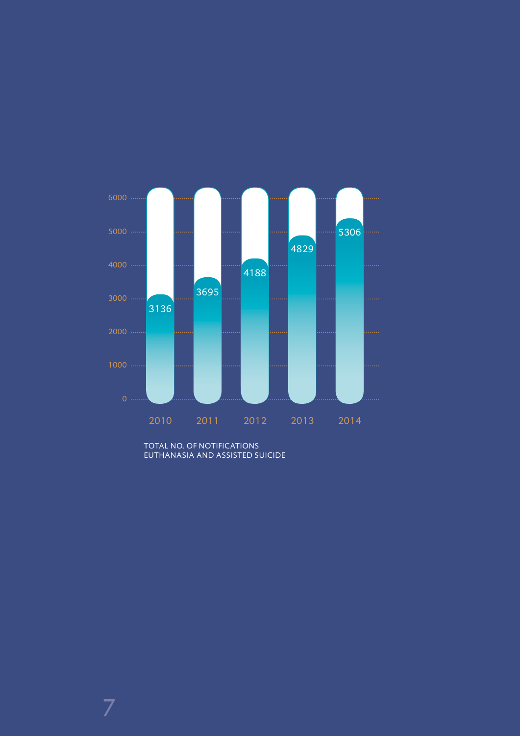

TOTAL NO. OF NOTIFICATIONS EUTHANASIA AND ASSISTED SUICIDE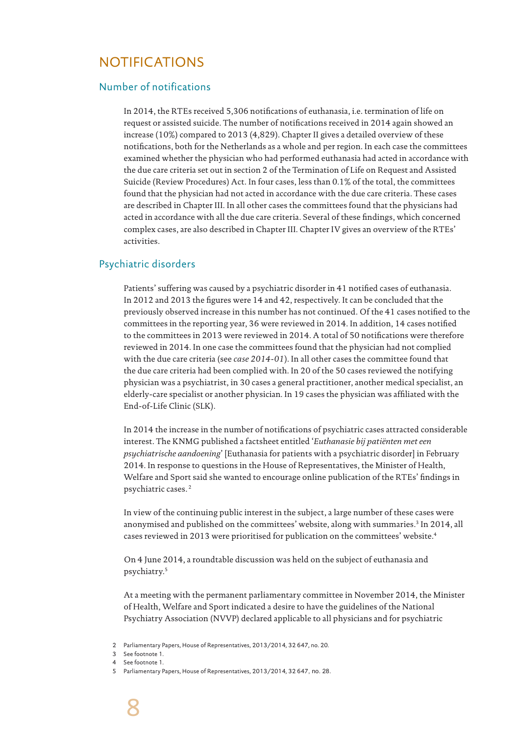# NOTIFICATIONS

## Number of notifications

In 2014, the RTEs received 5,306 notifications of euthanasia, i.e. termination of life on request or assisted suicide. The number of notifications received in 2014 again showed an increase (10%) compared to 2013 (4,829). Chapter II gives a detailed overview of these notifications, both for the Netherlands as a whole and per region. In each case the committees examined whether the physician who had performed euthanasia had acted in accordance with the due care criteria set out in section 2 of the Termination of Life on Request and Assisted Suicide (Review Procedures) Act. In four cases, less than 0.1% of the total, the committees found that the physician had not acted in accordance with the due care criteria. These cases are described in Chapter III. In all other cases the committees found that the physicians had acted in accordance with all the due care criteria. Several of these findings, which concerned complex cases, are also described in Chapter III. Chapter IV gives an overview of the RTEs' activities.

### Psychiatric disorders

Patients' suffering was caused by a psychiatric disorder in 41 notified cases of euthanasia. In 2012 and 2013 the figures were 14 and 42, respectively. It can be concluded that the previously observed increase in this number has not continued. Of the 41 cases notified to the committees in the reporting year, 36 were reviewed in 2014. In addition, 14 cases notified to the committees in 2013 were reviewed in 2014. A total of 50 notifications were therefore reviewed in 2014. In one case the committees found that the physician had not complied with the due care criteria (see *case 2014-01*). In all other cases the committee found that the due care criteria had been complied with. In 20 of the 50 cases reviewed the notifying physician was a psychiatrist, in 30 cases a general practitioner, another medical specialist, an elderly-care specialist or another physician. In 19 cases the physician was affiliated with the End-of-Life Clinic (SLK).

In 2014 the increase in the number of notifications of psychiatric cases attracted considerable interest. The KNMG published a factsheet entitled '*Euthanasie bij patiënten met een psychiatrische aandoening*' [Euthanasia for patients with a psychiatric disorder] in February 2014. In response to questions in the House of Representatives, the Minister of Health, Welfare and Sport said she wanted to encourage online publication of the RTEs' findings in psychiatric cases. 2

In view of the continuing public interest in the subject, a large number of these cases were anonymised and published on the committees' website, along with summaries.3 In 2014, all cases reviewed in 2013 were prioritised for publication on the committees' website.4

On 4 June 2014, a roundtable discussion was held on the subject of euthanasia and psychiatry.5

At a meeting with the permanent parliamentary committee in November 2014, the Minister of Health, Welfare and Sport indicated a desire to have the guidelines of the National Psychiatry Association (NVVP) declared applicable to all physicians and for psychiatric

<sup>2</sup> Parliamentary Papers, House of Representatives, 2013/2014, 32 647, no. 20.

<sup>3</sup> See footnote 1.

<sup>4</sup> See footnote 1.

<sup>5</sup> Parliamentary Papers, House of Representatives, 2013/2014, 32 647, no. 28.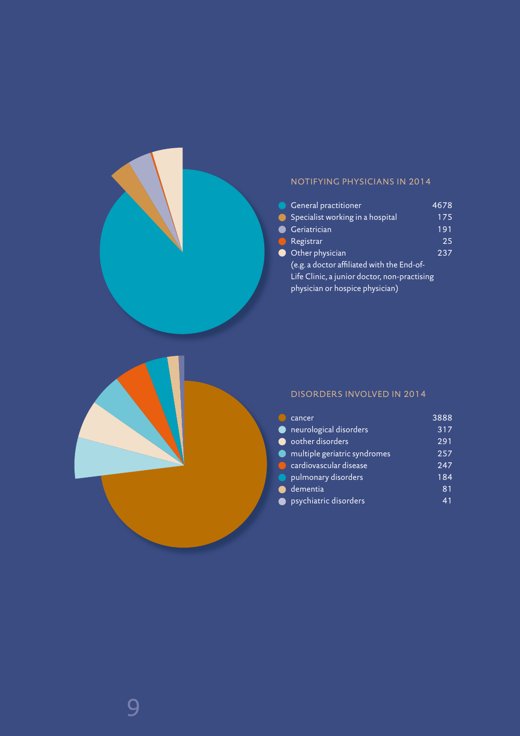### NOTIFYING PHYSICIANS IN 2014

| <b>General practitioner</b>                  | 4678 |
|----------------------------------------------|------|
| Specialist working in a hospital             | 175  |
| Geriatrician                                 | 191  |
| Registrar                                    | 25   |
| Other physician                              | 237  |
| (e.g. a doctor affiliated with the End-of-   |      |
| Life Clinic, a junior doctor, non-practising |      |
| physician or hospice physician)              |      |
|                                              |      |



#### DISORDERS INVOLVED IN 2014

| cancer                       | 3888 |
|------------------------------|------|
| neurological disorders       | 317  |
| oother disorders             | 291  |
| multiple geriatric syndromes | 257  |
| cardiovascular disease       | 247  |
| pulmonary disorders          | 184  |
| dementia                     | 81   |
| psychiatric disorders        |      |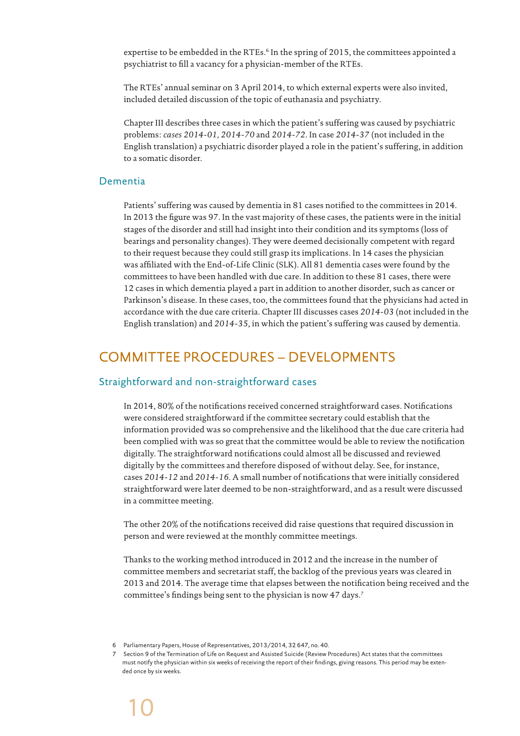expertise to be embedded in the RTEs.<sup>6</sup> In the spring of 2015, the committees appointed a psychiatrist to fill a vacancy for a physician-member of the RTEs.

The RTEs' annual seminar on 3 April 2014, to which external experts were also invited, included detailed discussion of the topic of euthanasia and psychiatry.

Chapter III describes three cases in which the patient's suffering was caused by psychiatric problems: *cases 2014-01, 2014-70* and *2014-72*. In case *2014-37* (not included in the English translation) a psychiatric disorder played a role in the patient's suffering, in addition to a somatic disorder.

#### Dementia

Patients' suffering was caused by dementia in 81 cases notified to the committees in 2014. In 2013 the figure was 97. In the vast majority of these cases, the patients were in the initial stages of the disorder and still had insight into their condition and its symptoms (loss of bearings and personality changes). They were deemed decisionally competent with regard to their request because they could still grasp its implications. In 14 cases the physician was affiliated with the End-of-Life Clinic (SLK). All 81 dementia cases were found by the committees to have been handled with due care. In addition to these 81 cases, there were 12 cases in which dementia played a part in addition to another disorder, such as cancer or Parkinson's disease. In these cases, too, the committees found that the physicians had acted in accordance with the due care criteria. Chapter III discusses cases *2014-03* (not included in the English translation) and *2014-35*, in which the patient's suffering was caused by dementia.

# COMMITTEE PROCEDURES – DEVELOPMENTS

#### Straightforward and non-straightforward cases

In 2014, 80% of the notifications received concerned straightforward cases. Notifications were considered straightforward if the committee secretary could establish that the information provided was so comprehensive and the likelihood that the due care criteria had been complied with was so great that the committee would be able to review the notification digitally. The straightforward notifications could almost all be discussed and reviewed digitally by the committees and therefore disposed of without delay. See, for instance, cases *2014-12* and *2014-16*. A small number of notifications that were initially considered straightforward were later deemed to be non-straightforward, and as a result were discussed in a committee meeting.

The other 20% of the notifications received did raise questions that required discussion in person and were reviewed at the monthly committee meetings.

Thanks to the working method introduced in 2012 and the increase in the number of committee members and secretariat staff, the backlog of the previous years was cleared in 2013 and 2014. The average time that elapses between the notification being received and the committee's findings being sent to the physician is now 47 days.7

<sup>6</sup> Parliamentary Papers, House of Representatives, 2013/2014, 32 647, no. 40.

<sup>7</sup> Section 9 of the Termination of Life on Request and Assisted Suicide (Review Procedures) Act states that the committees must notify the physician within six weeks of receiving the report of their findings, giving reasons. This period may be extended once by six weeks.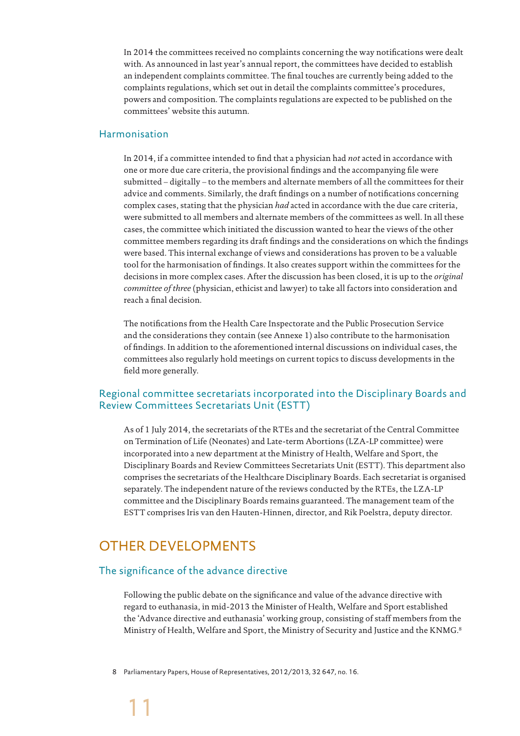In 2014 the committees received no complaints concerning the way notifications were dealt with. As announced in last year's annual report, the committees have decided to establish an independent complaints committee. The final touches are currently being added to the complaints regulations, which set out in detail the complaints committee's procedures, powers and composition. The complaints regulations are expected to be published on the committees' website this autumn.

#### Harmonisation

In 2014, if a committee intended to find that a physician had *not* acted in accordance with one or more due care criteria, the provisional findings and the accompanying file were submitted – digitally – to the members and alternate members of all the committees for their advice and comments. Similarly, the draft findings on a number of notifications concerning complex cases, stating that the physician *had* acted in accordance with the due care criteria, were submitted to all members and alternate members of the committees as well. In all these cases, the committee which initiated the discussion wanted to hear the views of the other committee members regarding its draft findings and the considerations on which the findings were based. This internal exchange of views and considerations has proven to be a valuable tool for the harmonisation of findings. It also creates support within the committees for the decisions in more complex cases. After the discussion has been closed, it is up to the *original committee of three* (physician, ethicist and lawyer) to take all factors into consideration and reach a final decision.

The notifications from the Health Care Inspectorate and the Public Prosecution Service and the considerations they contain (see Annexe 1) also contribute to the harmonisation of findings. In addition to the aforementioned internal discussions on individual cases, the committees also regularly hold meetings on current topics to discuss developments in the field more generally.

## Regional committee secretariats incorporated into the Disciplinary Boards and Review Committees Secretariats Unit (ESTT)

As of 1 July 2014, the secretariats of the RTEs and the secretariat of the Central Committee on Termination of Life (Neonates) and Late-term Abortions (LZA-LP committee) were incorporated into a new department at the Ministry of Health, Welfare and Sport, the Disciplinary Boards and Review Committees Secretariats Unit (ESTT). This department also comprises the secretariats of the Healthcare Disciplinary Boards. Each secretariat is organised separately. The independent nature of the reviews conducted by the RTEs, the LZA-LP committee and the Disciplinary Boards remains guaranteed. The management team of the ESTT comprises Iris van den Hauten-Hinnen, director, and Rik Poelstra, deputy director.

# OTHER DEVELOPMENTS

#### The significance of the advance directive

Following the public debate on the significance and value of the advance directive with regard to euthanasia, in mid-2013 the Minister of Health, Welfare and Sport established the 'Advance directive and euthanasia' working group, consisting of staff members from the Ministry of Health, Welfare and Sport, the Ministry of Security and Justice and the KNMG.8

8 Parliamentary Papers, House of Representatives, 2012/2013, 32 647, no. 16.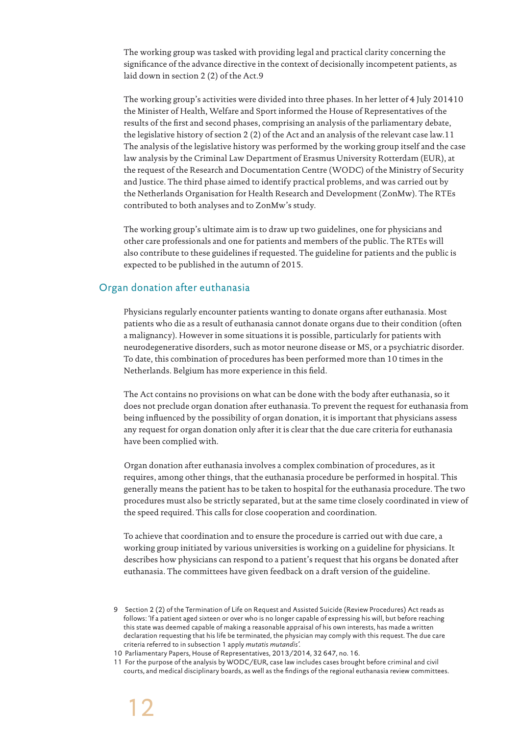The working group was tasked with providing legal and practical clarity concerning the significance of the advance directive in the context of decisionally incompetent patients, as laid down in section 2 (2) of the Act.9

The working group's activities were divided into three phases. In her letter of 4 July 201410 the Minister of Health, Welfare and Sport informed the House of Representatives of the results of the first and second phases, comprising an analysis of the parliamentary debate, the legislative history of section 2 (2) of the Act and an analysis of the relevant case law.11 The analysis of the legislative history was performed by the working group itself and the case law analysis by the Criminal Law Department of Erasmus University Rotterdam (EUR), at the request of the Research and Documentation Centre (WODC) of the Ministry of Security and Justice. The third phase aimed to identify practical problems, and was carried out by the Netherlands Organisation for Health Research and Development (ZonMw). The RTEs contributed to both analyses and to ZonMw's study.

The working group's ultimate aim is to draw up two guidelines, one for physicians and other care professionals and one for patients and members of the public. The RTEs will also contribute to these guidelines if requested. The guideline for patients and the public is expected to be published in the autumn of 2015.

## Organ donation after euthanasia

Physicians regularly encounter patients wanting to donate organs after euthanasia. Most patients who die as a result of euthanasia cannot donate organs due to their condition (often a malignancy). However in some situations it is possible, particularly for patients with neurodegenerative disorders, such as motor neurone disease or MS, or a psychiatric disorder. To date, this combination of procedures has been performed more than 10 times in the Netherlands. Belgium has more experience in this field.

The Act contains no provisions on what can be done with the body after euthanasia, so it does not preclude organ donation after euthanasia. To prevent the request for euthanasia from being influenced by the possibility of organ donation, it is important that physicians assess any request for organ donation only after it is clear that the due care criteria for euthanasia have been complied with.

Organ donation after euthanasia involves a complex combination of procedures, as it requires, among other things, that the euthanasia procedure be performed in hospital. This generally means the patient has to be taken to hospital for the euthanasia procedure. The two procedures must also be strictly separated, but at the same time closely coordinated in view of the speed required. This calls for close cooperation and coordination.

To achieve that coordination and to ensure the procedure is carried out with due care, a working group initiated by various universities is working on a guideline for physicians. It describes how physicians can respond to a patient's request that his organs be donated after euthanasia. The committees have given feedback on a draft version of the guideline.

10 Parliamentary Papers, House of Representatives, 2013/2014, 32 647, no. 16.

11 For the purpose of the analysis by WODC/EUR, case law includes cases brought before criminal and civil courts, and medical disciplinary boards, as well as the findings of the regional euthanasia review committees.

<sup>9</sup> Section 2 (2) of the Termination of Life on Request and Assisted Suicide (Review Procedures) Act reads as follows: 'If a patient aged sixteen or over who is no longer capable of expressing his will, but before reaching this state was deemed capable of making a reasonable appraisal of his own interests, has made a written declaration requesting that his life be terminated, the physician may comply with this request. The due care criteria referred to in subsection 1 apply *mutatis mutandis'.*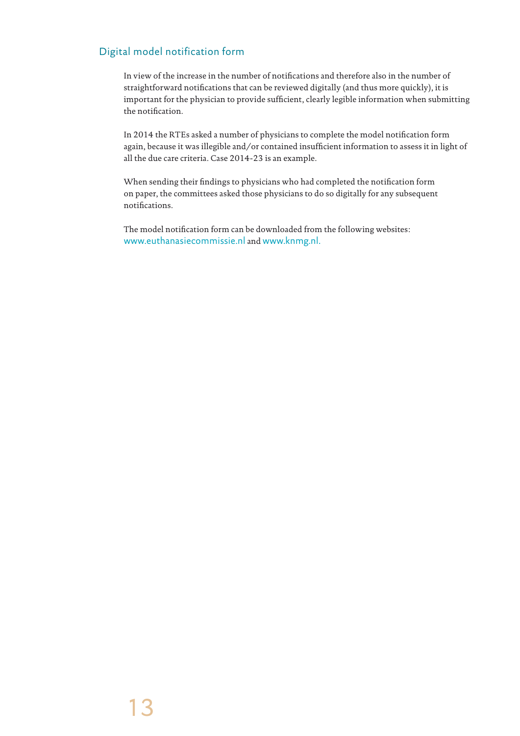# Digital model notification form

In view of the increase in the number of notifications and therefore also in the number of straightforward notifications that can be reviewed digitally (and thus more quickly), it is important for the physician to provide sufficient, clearly legible information when submitting the notification.

In 2014 the RTEs asked a number of physicians to complete the model notification form again, because it was illegible and/or contained insufficient information to assess it in light of all the due care criteria. Case 2014-23 is an example.

When sending their findings to physicians who had completed the notification form on paper, the committees asked those physicians to do so digitally for any subsequent notifications.

The model notification form can be downloaded from the following websites: www.euthanasiecommissie.nl and www.knmg.nl.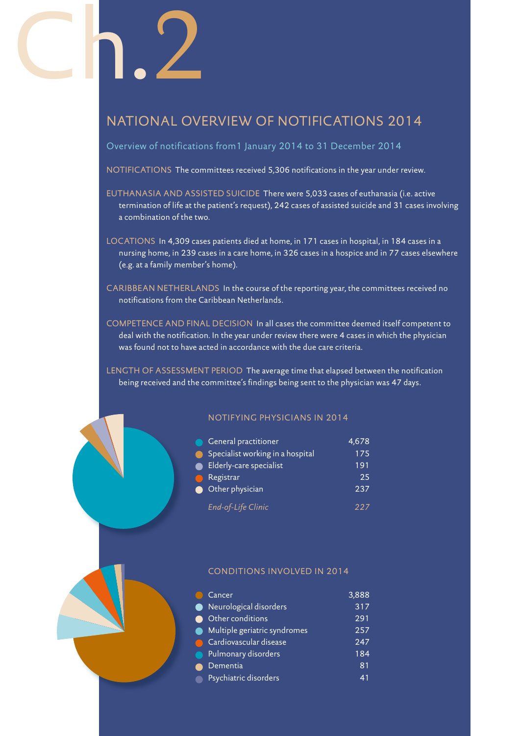# Ch.2

# NATIONAL OVERVIEW OF NOTIFICATIONS 2014

Overview of notifications from1 January 2014 to 31 December 2014

NOTIFICATIONS The committees received 5,306 notifications in the year under review.

- EUTHANASIA AND ASSISTED SUICIDE There were 5,033 cases of euthanasia (i.e. active termination of life at the patient's request), 242 cases of assisted suicide and 31 cases involving a combination of the two.
- LOCATIONS In 4,309 cases patients died at home, in 171 cases in hospital, in 184 cases in a nursing home, in 239 cases in a care home, in 326 cases in a hospice and in 77 cases elsewhere (e.g. at a family member's home).
- CARIBBEAN NETHERLANDS In the course of the reporting year, the committees received no notifications from the Caribbean Netherlands.
- COMPETENCE AND FINAL DECISION In all cases the committee deemed itself competent to deal with the notification. In the year under review there were 4 cases in which the physician was found not to have acted in accordance with the due care criteria.

LENGTH OF ASSESSMENT PERIOD The average time that elapsed between the notification being received and the committee's findings being sent to the physician was 47 days.

#### NOTIFYING PHYSICIANS IN 2014

| <b>General practitioner</b><br>$\blacksquare$ | 4,678 |
|-----------------------------------------------|-------|
| Specialist working in a hospital<br>$\bullet$ | 175   |
| Elderly-care specialist<br>●                  | 191   |
| Registrar<br>$\curvearrowright$               | 25    |
| Other physician                               | 237   |
| End-of-Life Clinic                            | 227   |

#### CONDITIONS INVOLVED IN 2014

|             | Cancer                         | 3,888            |
|-------------|--------------------------------|------------------|
|             | Neurological disorders         | 317              |
|             | ● Other conditions             | 291              |
|             | • Multiple geriatric syndromes | 257              |
|             | Cardiovascular disease         | 247              |
| $\bullet$   | Pulmonary disorders            | $\overline{184}$ |
|             | Dementia                       | 81               |
| $\bullet$ . | Psychiatric disorders          | 41               |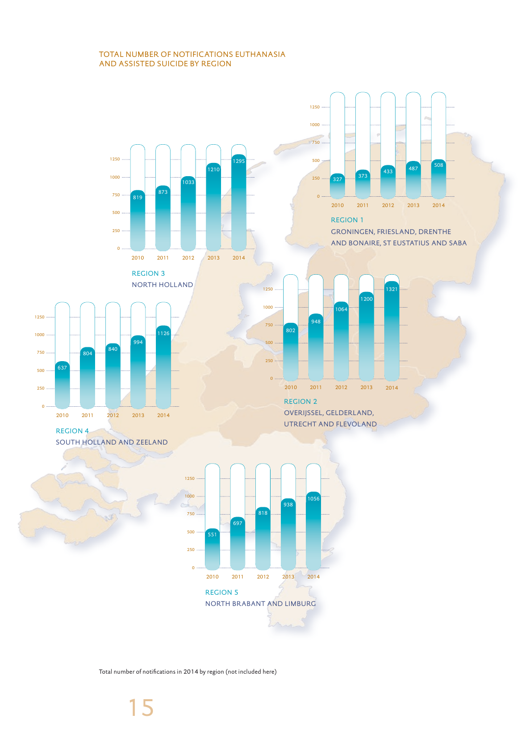#### TOTAL NUMBER OF NOTIFICATIONS EUTHANASIA AND ASSISTED SUICIDE BY REGION



Total number of notifications in 2014 by region (not included here)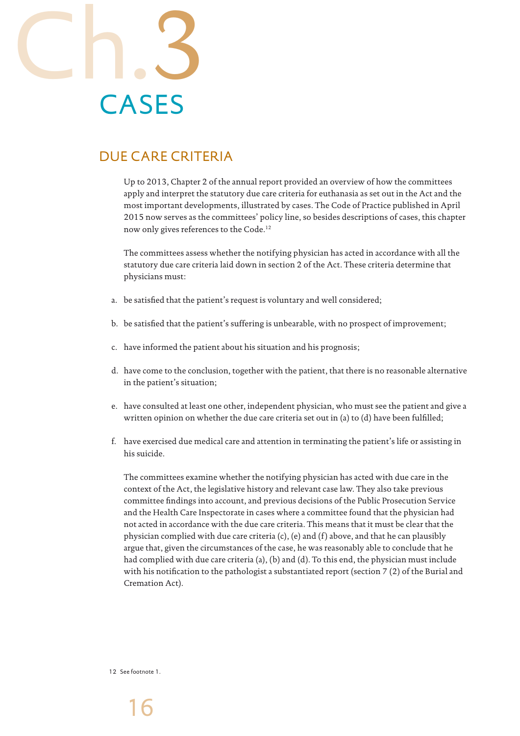

# DUE CARE CRITERIA

Up to 2013, Chapter 2 of the annual report provided an overview of how the committees apply and interpret the statutory due care criteria for euthanasia as set out in the Act and the most important developments, illustrated by cases. The Code of Practice published in April 2015 now serves as the committees' policy line, so besides descriptions of cases, this chapter now only gives references to the Code.12

The committees assess whether the notifying physician has acted in accordance with all the statutory due care criteria laid down in section 2 of the Act. These criteria determine that physicians must:

- a. be satisfied that the patient's request is voluntary and well considered;
- b. be satisfied that the patient's suffering is unbearable, with no prospect of improvement;
- c. have informed the patient about his situation and his prognosis;
- d. have come to the conclusion, together with the patient, that there is no reasonable alternative in the patient's situation;
- e. have consulted at least one other, independent physician, who must see the patient and give a written opinion on whether the due care criteria set out in (a) to (d) have been fulfilled;
- f. have exercised due medical care and attention in terminating the patient's life or assisting in his suicide.

The committees examine whether the notifying physician has acted with due care in the context of the Act, the legislative history and relevant case law. They also take previous committee findings into account, and previous decisions of the Public Prosecution Service and the Health Care Inspectorate in cases where a committee found that the physician had not acted in accordance with the due care criteria. This means that it must be clear that the physician complied with due care criteria  $(c)$ ,  $(e)$  and  $(f)$  above, and that he can plausibly argue that, given the circumstances of the case, he was reasonably able to conclude that he had complied with due care criteria (a), (b) and (d). To this end, the physician must include with his notification to the pathologist a substantiated report (section 7 (2) of the Burial and Cremation Act).

12 See footnote 1.

16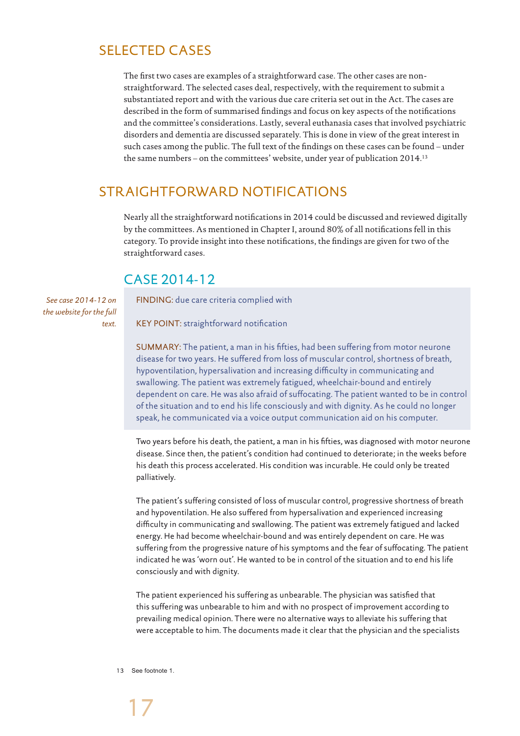# SELECTED CASES

The first two cases are examples of a straightforward case. The other cases are nonstraightforward. The selected cases deal, respectively, with the requirement to submit a substantiated report and with the various due care criteria set out in the Act. The cases are described in the form of summarised findings and focus on key aspects of the notifications and the committee's considerations. Lastly, several euthanasia cases that involved psychiatric disorders and dementia are discussed separately. This is done in view of the great interest in such cases among the public. The full text of the findings on these cases can be found – under the same numbers – on the committees' website, under year of publication 2014.13

# STRAIGHTFORWARD NOTIFICATIONS

Nearly all the straightforward notifications in 2014 could be discussed and reviewed digitally by the committees. As mentioned in Chapter I, around 80% of all notifications fell in this category. To provide insight into these notifications, the findings are given for two of the straightforward cases.

# CASE 2014-12

*See case 2014-12 on the website for the full text.*

FINDING: due care criteria complied with

KEY POINT: straightforward notification

SUMMARY: The patient, a man in his fifties, had been suffering from motor neurone disease for two years. He suffered from loss of muscular control, shortness of breath, hypoventilation, hypersalivation and increasing difficulty in communicating and swallowing. The patient was extremely fatigued, wheelchair-bound and entirely dependent on care. He was also afraid of suffocating. The patient wanted to be in control of the situation and to end his life consciously and with dignity. As he could no longer speak, he communicated via a voice output communication aid on his computer.

Two years before his death, the patient, a man in his fifties, was diagnosed with motor neurone disease. Since then, the patient's condition had continued to deteriorate; in the weeks before his death this process accelerated. His condition was incurable. He could only be treated palliatively.

The patient's suffering consisted of loss of muscular control, progressive shortness of breath and hypoventilation. He also suffered from hypersalivation and experienced increasing difficulty in communicating and swallowing. The patient was extremely fatigued and lacked energy. He had become wheelchair-bound and was entirely dependent on care. He was suffering from the progressive nature of his symptoms and the fear of suffocating. The patient indicated he was 'worn out'. He wanted to be in control of the situation and to end his life consciously and with dignity.

The patient experienced his suffering as unbearable. The physician was satisfied that this suffering was unbearable to him and with no prospect of improvement according to prevailing medical opinion. There were no alternative ways to alleviate his suffering that were acceptable to him. The documents made it clear that the physician and the specialists

13 See footnote 1.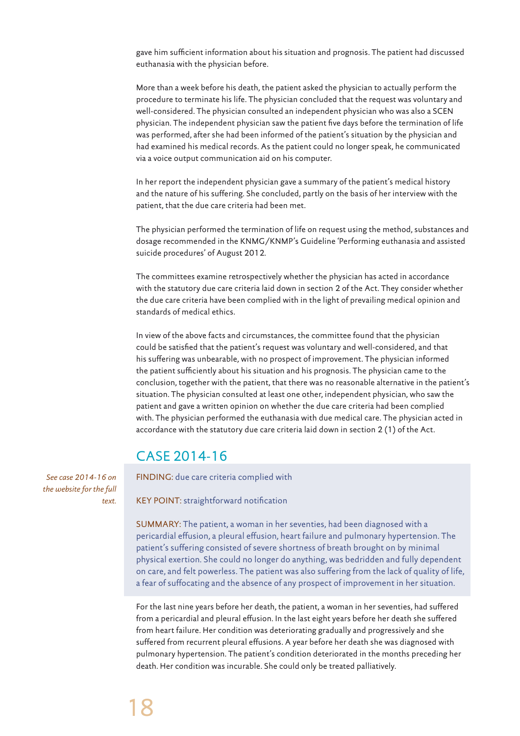gave him sufficient information about his situation and prognosis. The patient had discussed euthanasia with the physician before.

More than a week before his death, the patient asked the physician to actually perform the procedure to terminate his life. The physician concluded that the request was voluntary and well-considered. The physician consulted an independent physician who was also a SCEN physician. The independent physician saw the patient five days before the termination of life was performed, after she had been informed of the patient's situation by the physician and had examined his medical records. As the patient could no longer speak, he communicated via a voice output communication aid on his computer.

In her report the independent physician gave a summary of the patient's medical history and the nature of his suffering. She concluded, partly on the basis of her interview with the patient, that the due care criteria had been met.

The physician performed the termination of life on request using the method, substances and dosage recommended in the KNMG/KNMP's Guideline 'Performing euthanasia and assisted suicide procedures' of August 2012.

The committees examine retrospectively whether the physician has acted in accordance with the statutory due care criteria laid down in section 2 of the Act. They consider whether the due care criteria have been complied with in the light of prevailing medical opinion and standards of medical ethics.

In view of the above facts and circumstances, the committee found that the physician could be satisfied that the patient's request was voluntary and well-considered, and that his suffering was unbearable, with no prospect of improvement. The physician informed the patient sufficiently about his situation and his prognosis. The physician came to the conclusion, together with the patient, that there was no reasonable alternative in the patient's situation. The physician consulted at least one other, independent physician, who saw the patient and gave a written opinion on whether the due care criteria had been complied with. The physician performed the euthanasia with due medical care. The physician acted in accordance with the statutory due care criteria laid down in section 2 (1) of the Act.

# CASE 2014-16

FINDING: due care criteria complied with

KEY POINT: straightforward notification

SUMMARY: The patient, a woman in her seventies, had been diagnosed with a pericardial effusion, a pleural effusion, heart failure and pulmonary hypertension. The patient's suffering consisted of severe shortness of breath brought on by minimal physical exertion. She could no longer do anything, was bedridden and fully dependent on care, and felt powerless. The patient was also suffering from the lack of quality of life, a fear of suffocating and the absence of any prospect of improvement in her situation.

For the last nine years before her death, the patient, a woman in her seventies, had suffered from a pericardial and pleural effusion. In the last eight years before her death she suffered from heart failure. Her condition was deteriorating gradually and progressively and she suffered from recurrent pleural effusions. A year before her death she was diagnosed with pulmonary hypertension. The patient's condition deteriorated in the months preceding her death. Her condition was incurable. She could only be treated palliatively.

*See case 2014-16 on the website for the full text.*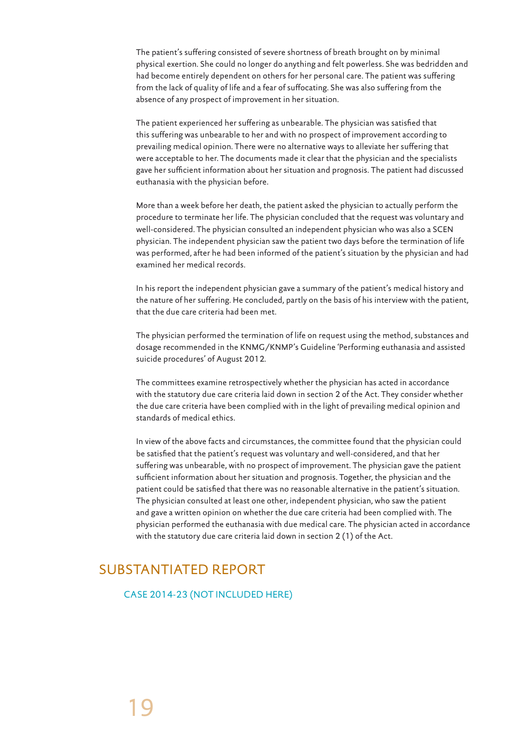The patient's suffering consisted of severe shortness of breath brought on by minimal physical exertion. She could no longer do anything and felt powerless. She was bedridden and had become entirely dependent on others for her personal care. The patient was suffering from the lack of quality of life and a fear of suffocating. She was also suffering from the absence of any prospect of improvement in her situation.

The patient experienced her suffering as unbearable. The physician was satisfied that this suffering was unbearable to her and with no prospect of improvement according to prevailing medical opinion. There were no alternative ways to alleviate her suffering that were acceptable to her. The documents made it clear that the physician and the specialists gave her sufficient information about her situation and prognosis. The patient had discussed euthanasia with the physician before.

More than a week before her death, the patient asked the physician to actually perform the procedure to terminate her life. The physician concluded that the request was voluntary and well-considered. The physician consulted an independent physician who was also a SCEN physician. The independent physician saw the patient two days before the termination of life was performed, after he had been informed of the patient's situation by the physician and had examined her medical records.

In his report the independent physician gave a summary of the patient's medical history and the nature of her suffering. He concluded, partly on the basis of his interview with the patient, that the due care criteria had been met.

The physician performed the termination of life on request using the method, substances and dosage recommended in the KNMG/KNMP's Guideline 'Performing euthanasia and assisted suicide procedures' of August 2012.

The committees examine retrospectively whether the physician has acted in accordance with the statutory due care criteria laid down in section 2 of the Act. They consider whether the due care criteria have been complied with in the light of prevailing medical opinion and standards of medical ethics.

In view of the above facts and circumstances, the committee found that the physician could be satisfied that the patient's request was voluntary and well-considered, and that her suffering was unbearable, with no prospect of improvement. The physician gave the patient sufficient information about her situation and prognosis. Together, the physician and the patient could be satisfied that there was no reasonable alternative in the patient's situation. The physician consulted at least one other, independent physician, who saw the patient and gave a written opinion on whether the due care criteria had been complied with. The physician performed the euthanasia with due medical care. The physician acted in accordance with the statutory due care criteria laid down in section 2 (1) of the Act.

# SUBSTANTIATED REPORT

CASE 2014-23 (NOT INCLUDED HERE)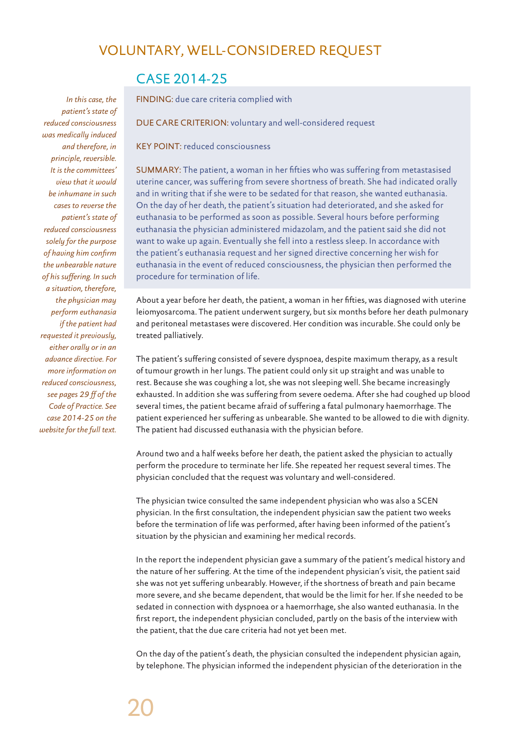# VOLUNTARY, WELL-CONSIDERED REQUEST

# CASE 2014-25

*In this case, the patient's state of reduced consciousness was medically induced and therefore, in principle, reversible. It is the committees' view that it would be inhumane in such cases to reverse the patient's state of reduced consciousness solely for the purpose of having him confirm the unbearable nature of his suffering. In such a situation, therefore, the physician may perform euthanasia if the patient had requested it previously, either orally or in an advance directive. For more information on reduced consciousness, see pages 29 ff of the Code of Practice. See case 2014-25 on the website for the full text.*

#### FINDING: due care criteria complied with

DUE CARE CRITERION: voluntary and well-considered request

KEY POINT: reduced consciousness

SUMMARY: The patient, a woman in her fifties who was suffering from metastasised uterine cancer, was suffering from severe shortness of breath. She had indicated orally and in writing that if she were to be sedated for that reason, she wanted euthanasia. On the day of her death, the patient's situation had deteriorated, and she asked for euthanasia to be performed as soon as possible. Several hours before performing euthanasia the physician administered midazolam, and the patient said she did not want to wake up again. Eventually she fell into a restless sleep. In accordance with the patient's euthanasia request and her signed directive concerning her wish for euthanasia in the event of reduced consciousness, the physician then performed the procedure for termination of life.

About a year before her death, the patient, a woman in her fifties, was diagnosed with uterine leiomyosarcoma. The patient underwent surgery, but six months before her death pulmonary and peritoneal metastases were discovered. Her condition was incurable. She could only be treated palliatively.

The patient's suffering consisted of severe dyspnoea, despite maximum therapy, as a result of tumour growth in her lungs. The patient could only sit up straight and was unable to rest. Because she was coughing a lot, she was not sleeping well. She became increasingly exhausted. In addition she was suffering from severe oedema. After she had coughed up blood several times, the patient became afraid of suffering a fatal pulmonary haemorrhage. The patient experienced her suffering as unbearable. She wanted to be allowed to die with dignity. The patient had discussed euthanasia with the physician before.

Around two and a half weeks before her death, the patient asked the physician to actually perform the procedure to terminate her life. She repeated her request several times. The physician concluded that the request was voluntary and well-considered.

The physician twice consulted the same independent physician who was also a SCEN physician. In the first consultation, the independent physician saw the patient two weeks before the termination of life was performed, after having been informed of the patient's situation by the physician and examining her medical records.

In the report the independent physician gave a summary of the patient's medical history and the nature of her suffering. At the time of the independent physician's visit, the patient said she was not yet suffering unbearably. However, if the shortness of breath and pain became more severe, and she became dependent, that would be the limit for her. If she needed to be sedated in connection with dyspnoea or a haemorrhage, she also wanted euthanasia. In the first report, the independent physician concluded, partly on the basis of the interview with the patient, that the due care criteria had not yet been met.

On the day of the patient's death, the physician consulted the independent physician again, by telephone. The physician informed the independent physician of the deterioration in the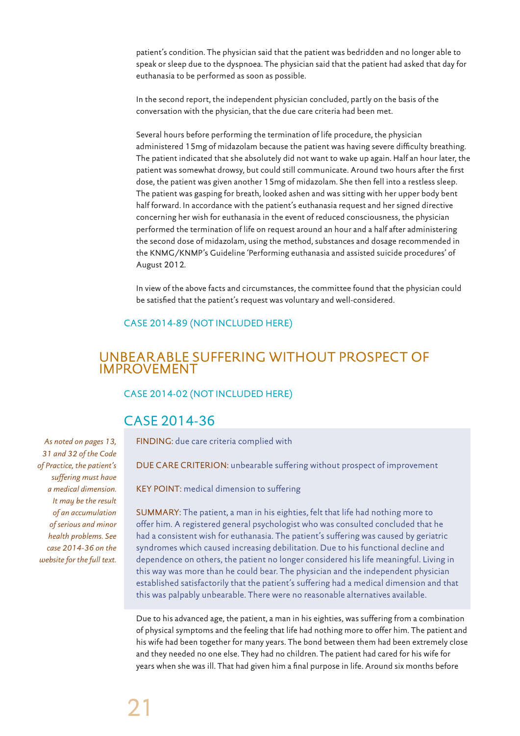patient's condition. The physician said that the patient was bedridden and no longer able to speak or sleep due to the dyspnoea. The physician said that the patient had asked that day for euthanasia to be performed as soon as possible.

In the second report, the independent physician concluded, partly on the basis of the conversation with the physician, that the due care criteria had been met.

Several hours before performing the termination of life procedure, the physician administered 15mg of midazolam because the patient was having severe difficulty breathing. The patient indicated that she absolutely did not want to wake up again. Half an hour later, the patient was somewhat drowsy, but could still communicate. Around two hours after the first dose, the patient was given another 15mg of midazolam. She then fell into a restless sleep. The patient was gasping for breath, looked ashen and was sitting with her upper body bent half forward. In accordance with the patient's euthanasia request and her signed directive concerning her wish for euthanasia in the event of reduced consciousness, the physician performed the termination of life on request around an hour and a half after administering the second dose of midazolam, using the method, substances and dosage recommended in the KNMG/KNMP's Guideline 'Performing euthanasia and assisted suicide procedures' of August 2012.

In view of the above facts and circumstances, the committee found that the physician could be satisfied that the patient's request was voluntary and well-considered.

# CASE 2014-89 (NOT INCLUDED HERE)

# UNBEARABLE SUFFERING WITHOUT PROSPECT OF IMPROVEMENT

#### CASE 2014-02 (NOT INCLUDED HERE)

# CASE 2014-36

FINDING: due care criteria complied with

DUE CARE CRITERION: unbearable suffering without prospect of improvement

KEY POINT: medical dimension to suffering

SUMMARY: The patient, a man in his eighties, felt that life had nothing more to offer him. A registered general psychologist who was consulted concluded that he had a consistent wish for euthanasia. The patient's suffering was caused by geriatric syndromes which caused increasing debilitation. Due to his functional decline and dependence on others, the patient no longer considered his life meaningful. Living in this way was more than he could bear. The physician and the independent physician established satisfactorily that the patient's suffering had a medical dimension and that this was palpably unbearable. There were no reasonable alternatives available.

Due to his advanced age, the patient, a man in his eighties, was suffering from a combination of physical symptoms and the feeling that life had nothing more to offer him. The patient and his wife had been together for many years. The bond between them had been extremely close and they needed no one else. They had no children. The patient had cared for his wife for years when she was ill. That had given him a final purpose in life. Around six months before

*As noted on pages 13, 31 and 32 of the Code of Practice, the patient's suffering must have a medical dimension. It may be the result of an accumulation of serious and minor health problems. See case 2014-36 on the website for the full text.*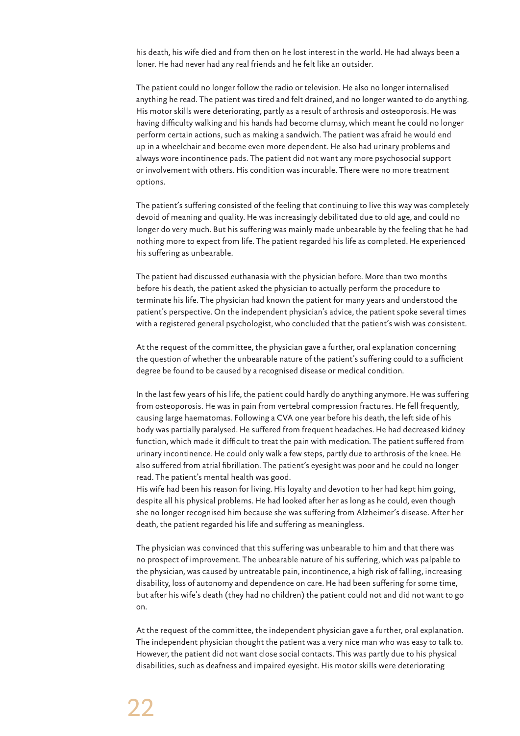his death, his wife died and from then on he lost interest in the world. He had always been a loner. He had never had any real friends and he felt like an outsider.

The patient could no longer follow the radio or television. He also no longer internalised anything he read. The patient was tired and felt drained, and no longer wanted to do anything. His motor skills were deteriorating, partly as a result of arthrosis and osteoporosis. He was having difficulty walking and his hands had become clumsy, which meant he could no longer perform certain actions, such as making a sandwich. The patient was afraid he would end up in a wheelchair and become even more dependent. He also had urinary problems and always wore incontinence pads. The patient did not want any more psychosocial support or involvement with others. His condition was incurable. There were no more treatment options.

The patient's suffering consisted of the feeling that continuing to live this way was completely devoid of meaning and quality. He was increasingly debilitated due to old age, and could no longer do very much. But his suffering was mainly made unbearable by the feeling that he had nothing more to expect from life. The patient regarded his life as completed. He experienced his suffering as unbearable.

The patient had discussed euthanasia with the physician before. More than two months before his death, the patient asked the physician to actually perform the procedure to terminate his life. The physician had known the patient for many years and understood the patient's perspective. On the independent physician's advice, the patient spoke several times with a registered general psychologist, who concluded that the patient's wish was consistent.

At the request of the committee, the physician gave a further, oral explanation concerning the question of whether the unbearable nature of the patient's suffering could to a sufficient degree be found to be caused by a recognised disease or medical condition.

In the last few years of his life, the patient could hardly do anything anymore. He was suffering from osteoporosis. He was in pain from vertebral compression fractures. He fell frequently, causing large haematomas. Following a CVA one year before his death, the left side of his body was partially paralysed. He suffered from frequent headaches. He had decreased kidney function, which made it difficult to treat the pain with medication. The patient suffered from urinary incontinence. He could only walk a few steps, partly due to arthrosis of the knee. He also suffered from atrial fibrillation. The patient's eyesight was poor and he could no longer read. The patient's mental health was good.

His wife had been his reason for living. His loyalty and devotion to her had kept him going, despite all his physical problems. He had looked after her as long as he could, even though she no longer recognised him because she was suffering from Alzheimer's disease. After her death, the patient regarded his life and suffering as meaningless.

The physician was convinced that this suffering was unbearable to him and that there was no prospect of improvement. The unbearable nature of his suffering, which was palpable to the physician, was caused by untreatable pain, incontinence, a high risk of falling, increasing disability, loss of autonomy and dependence on care. He had been suffering for some time, but after his wife's death (they had no children) the patient could not and did not want to go on.

At the request of the committee, the independent physician gave a further, oral explanation. The independent physician thought the patient was a very nice man who was easy to talk to. However, the patient did not want close social contacts. This was partly due to his physical disabilities, such as deafness and impaired eyesight. His motor skills were deteriorating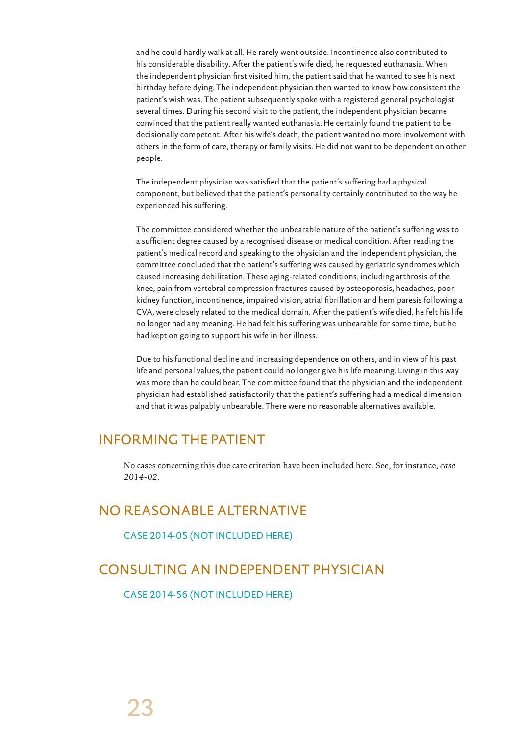and he could hardly walk at all. He rarely went outside. Incontinence also contributed to his considerable disability. After the patient's wife died, he requested euthanasia. When the independent physician first visited him, the patient said that he wanted to see his next birthday before dying. The independent physician then wanted to know how consistent the patient's wish was. The patient subsequently spoke with a registered general psychologist several times. During his second visit to the patient, the independent physician became convinced that the patient really wanted euthanasia. He certainly found the patient to be decisionally competent. After his wife's death, the patient wanted no more involvement with others in the form of care, therapy or family visits. He did not want to be dependent on other people.

The independent physician was satisfied that the patient's suffering had a physical component, but believed that the patient's personality certainly contributed to the way he experienced his suffering.

The committee considered whether the unbearable nature of the patient's suffering was to a sufficient degree caused by a recognised disease or medical condition. After reading the patient's medical record and speaking to the physician and the independent physician, the committee concluded that the patient's suffering was caused by geriatric syndromes which caused increasing debilitation. These aging-related conditions, including arthrosis of the knee, pain from vertebral compression fractures caused by osteoporosis, headaches, poor kidney function, incontinence, impaired vision, atrial fibrillation and hemiparesis following a CVA, were closely related to the medical domain. After the patient's wife died, he felt his life no longer had any meaning. He had felt his suffering was unbearable for some time, but he had kept on going to support his wife in her illness.

Due to his functional decline and increasing dependence on others, and in view of his past life and personal values, the patient could no longer give his life meaning. Living in this way was more than he could bear. The committee found that the physician and the independent physician had established satisfactorily that the patient's suffering had a medical dimension and that it was palpably unbearable. There were no reasonable alternatives available.

# INFORMING THE PATIENT

No cases concerning this due care criterion have been included here. See, for instance, *case 2014-02*.

# NO REASONABLE ALTERNATIVE

CASE 2014-05 (NOT INCLUDED HERE)

# CONSULTING AN INDEPENDENT PHYSICIAN

CASE 2014-56 (NOT INCLUDED HERE)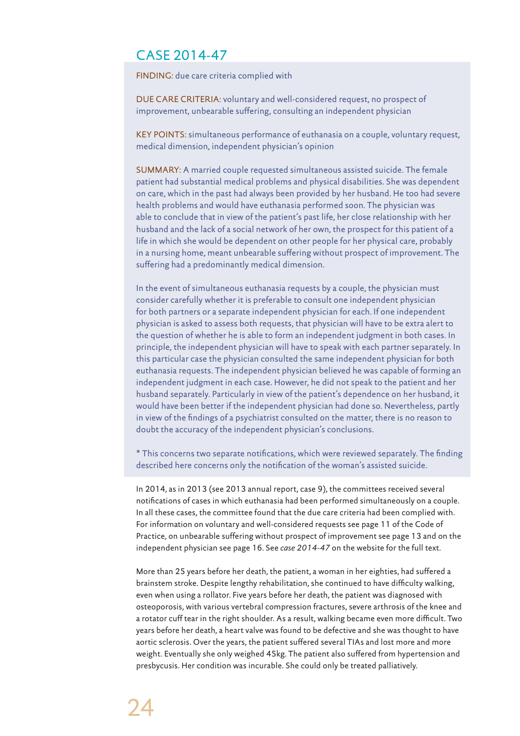# CASE 2014-47

FINDING: due care criteria complied with

DUE CARE CRITERIA: voluntary and well-considered request, no prospect of improvement, unbearable suffering, consulting an independent physician

KEY POINTS: simultaneous performance of euthanasia on a couple, voluntary request, medical dimension, independent physician's opinion

SUMMARY: A married couple requested simultaneous assisted suicide. The female patient had substantial medical problems and physical disabilities. She was dependent on care, which in the past had always been provided by her husband. He too had severe health problems and would have euthanasia performed soon. The physician was able to conclude that in view of the patient's past life, her close relationship with her husband and the lack of a social network of her own, the prospect for this patient of a life in which she would be dependent on other people for her physical care, probably in a nursing home, meant unbearable suffering without prospect of improvement. The suffering had a predominantly medical dimension.

In the event of simultaneous euthanasia requests by a couple, the physician must consider carefully whether it is preferable to consult one independent physician for both partners or a separate independent physician for each. If one independent physician is asked to assess both requests, that physician will have to be extra alert to the question of whether he is able to form an independent judgment in both cases. In principle, the independent physician will have to speak with each partner separately. In this particular case the physician consulted the same independent physician for both euthanasia requests. The independent physician believed he was capable of forming an independent judgment in each case. However, he did not speak to the patient and her husband separately. Particularly in view of the patient's dependence on her husband, it would have been better if the independent physician had done so. Nevertheless, partly in view of the findings of a psychiatrist consulted on the matter, there is no reason to doubt the accuracy of the independent physician's conclusions.

\* This concerns two separate notifications, which were reviewed separately. The finding described here concerns only the notification of the woman's assisted suicide.

In 2014, as in 2013 (see 2013 annual report, case 9), the committees received several notifications of cases in which euthanasia had been performed simultaneously on a couple. In all these cases, the committee found that the due care criteria had been complied with. For information on voluntary and well-considered requests see page 11 of the Code of Practice, on unbearable suffering without prospect of improvement see page 13 and on the independent physician see page 16. See *case 2014-47* on the website for the full text.

More than 25 years before her death, the patient, a woman in her eighties, had suffered a brainstem stroke. Despite lengthy rehabilitation, she continued to have difficulty walking, even when using a rollator. Five years before her death, the patient was diagnosed with osteoporosis, with various vertebral compression fractures, severe arthrosis of the knee and a rotator cuff tear in the right shoulder. As a result, walking became even more difficult. Two years before her death, a heart valve was found to be defective and she was thought to have aortic sclerosis. Over the years, the patient suffered several TIAs and lost more and more weight. Eventually she only weighed 45kg. The patient also suffered from hypertension and presbycusis. Her condition was incurable. She could only be treated palliatively.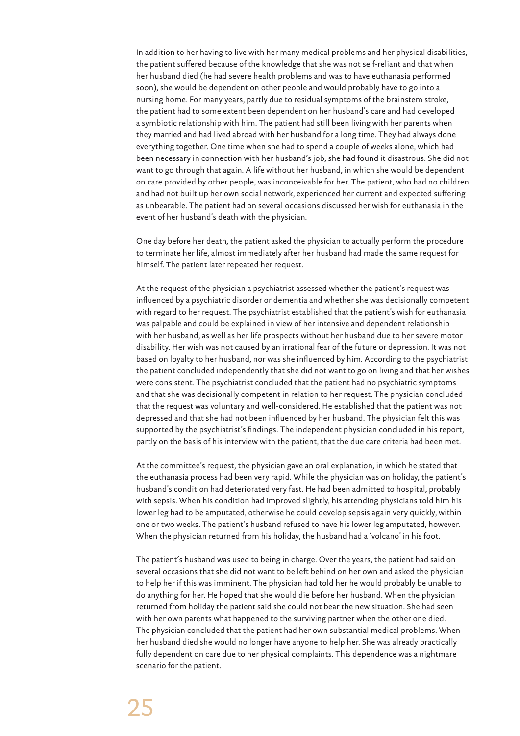In addition to her having to live with her many medical problems and her physical disabilities, the patient suffered because of the knowledge that she was not self-reliant and that when her husband died (he had severe health problems and was to have euthanasia performed soon), she would be dependent on other people and would probably have to go into a nursing home. For many years, partly due to residual symptoms of the brainstem stroke, the patient had to some extent been dependent on her husband's care and had developed a symbiotic relationship with him. The patient had still been living with her parents when they married and had lived abroad with her husband for a long time. They had always done everything together. One time when she had to spend a couple of weeks alone, which had been necessary in connection with her husband's job, she had found it disastrous. She did not want to go through that again. A life without her husband, in which she would be dependent on care provided by other people, was inconceivable for her. The patient, who had no children and had not built up her own social network, experienced her current and expected suffering as unbearable. The patient had on several occasions discussed her wish for euthanasia in the event of her husband's death with the physician.

One day before her death, the patient asked the physician to actually perform the procedure to terminate her life, almost immediately after her husband had made the same request for himself. The patient later repeated her request.

At the request of the physician a psychiatrist assessed whether the patient's request was influenced by a psychiatric disorder or dementia and whether she was decisionally competent with regard to her request. The psychiatrist established that the patient's wish for euthanasia was palpable and could be explained in view of her intensive and dependent relationship with her husband, as well as her life prospects without her husband due to her severe motor disability. Her wish was not caused by an irrational fear of the future or depression. It was not based on loyalty to her husband, nor was she influenced by him. According to the psychiatrist the patient concluded independently that she did not want to go on living and that her wishes were consistent. The psychiatrist concluded that the patient had no psychiatric symptoms and that she was decisionally competent in relation to her request. The physician concluded that the request was voluntary and well-considered. He established that the patient was not depressed and that she had not been influenced by her husband. The physician felt this was supported by the psychiatrist's findings. The independent physician concluded in his report, partly on the basis of his interview with the patient, that the due care criteria had been met.

At the committee's request, the physician gave an oral explanation, in which he stated that the euthanasia process had been very rapid. While the physician was on holiday, the patient's husband's condition had deteriorated very fast. He had been admitted to hospital, probably with sepsis. When his condition had improved slightly, his attending physicians told him his lower leg had to be amputated, otherwise he could develop sepsis again very quickly, within one or two weeks. The patient's husband refused to have his lower leg amputated, however. When the physician returned from his holiday, the husband had a 'volcano' in his foot.

The patient's husband was used to being in charge. Over the years, the patient had said on several occasions that she did not want to be left behind on her own and asked the physician to help her if this was imminent. The physician had told her he would probably be unable to do anything for her. He hoped that she would die before her husband. When the physician returned from holiday the patient said she could not bear the new situation. She had seen with her own parents what happened to the surviving partner when the other one died. The physician concluded that the patient had her own substantial medical problems. When her husband died she would no longer have anyone to help her. She was already practically fully dependent on care due to her physical complaints. This dependence was a nightmare scenario for the patient.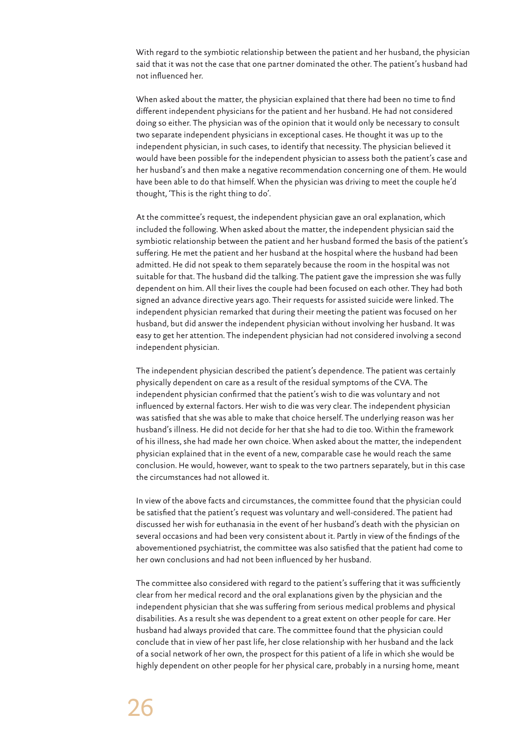With regard to the symbiotic relationship between the patient and her husband, the physician said that it was not the case that one partner dominated the other. The patient's husband had not influenced her.

When asked about the matter, the physician explained that there had been no time to find different independent physicians for the patient and her husband. He had not considered doing so either. The physician was of the opinion that it would only be necessary to consult two separate independent physicians in exceptional cases. He thought it was up to the independent physician, in such cases, to identify that necessity. The physician believed it would have been possible for the independent physician to assess both the patient's case and her husband's and then make a negative recommendation concerning one of them. He would have been able to do that himself. When the physician was driving to meet the couple he'd thought, 'This is the right thing to do'.

At the committee's request, the independent physician gave an oral explanation, which included the following. When asked about the matter, the independent physician said the symbiotic relationship between the patient and her husband formed the basis of the patient's suffering. He met the patient and her husband at the hospital where the husband had been admitted. He did not speak to them separately because the room in the hospital was not suitable for that. The husband did the talking. The patient gave the impression she was fully dependent on him. All their lives the couple had been focused on each other. They had both signed an advance directive years ago. Their requests for assisted suicide were linked. The independent physician remarked that during their meeting the patient was focused on her husband, but did answer the independent physician without involving her husband. It was easy to get her attention. The independent physician had not considered involving a second independent physician.

The independent physician described the patient's dependence. The patient was certainly physically dependent on care as a result of the residual symptoms of the CVA. The independent physician confirmed that the patient's wish to die was voluntary and not influenced by external factors. Her wish to die was very clear. The independent physician was satisfied that she was able to make that choice herself. The underlying reason was her husband's illness. He did not decide for her that she had to die too. Within the framework of his illness, she had made her own choice. When asked about the matter, the independent physician explained that in the event of a new, comparable case he would reach the same conclusion. He would, however, want to speak to the two partners separately, but in this case the circumstances had not allowed it.

In view of the above facts and circumstances, the committee found that the physician could be satisfied that the patient's request was voluntary and well-considered. The patient had discussed her wish for euthanasia in the event of her husband's death with the physician on several occasions and had been very consistent about it. Partly in view of the findings of the abovementioned psychiatrist, the committee was also satisfied that the patient had come to her own conclusions and had not been influenced by her husband.

The committee also considered with regard to the patient's suffering that it was sufficiently clear from her medical record and the oral explanations given by the physician and the independent physician that she was suffering from serious medical problems and physical disabilities. As a result she was dependent to a great extent on other people for care. Her husband had always provided that care. The committee found that the physician could conclude that in view of her past life, her close relationship with her husband and the lack of a social network of her own, the prospect for this patient of a life in which she would be highly dependent on other people for her physical care, probably in a nursing home, meant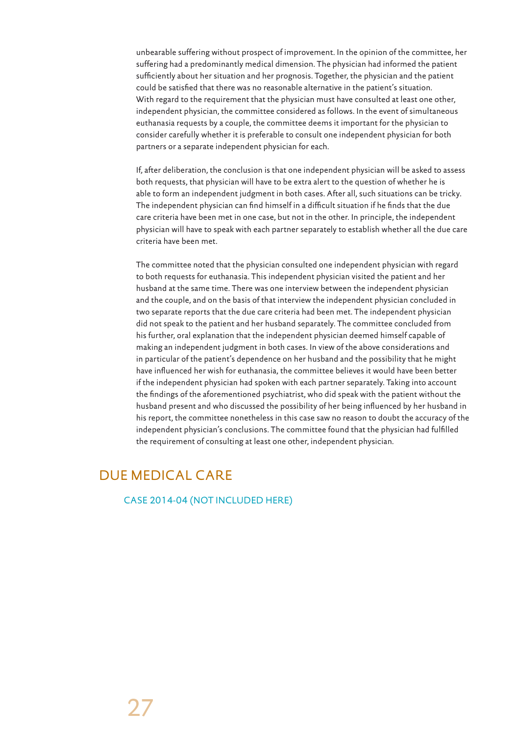unbearable suffering without prospect of improvement. In the opinion of the committee, her suffering had a predominantly medical dimension. The physician had informed the patient sufficiently about her situation and her prognosis. Together, the physician and the patient could be satisfied that there was no reasonable alternative in the patient's situation. With regard to the requirement that the physician must have consulted at least one other, independent physician, the committee considered as follows. In the event of simultaneous euthanasia requests by a couple, the committee deems it important for the physician to consider carefully whether it is preferable to consult one independent physician for both partners or a separate independent physician for each.

If, after deliberation, the conclusion is that one independent physician will be asked to assess both requests, that physician will have to be extra alert to the question of whether he is able to form an independent judgment in both cases. After all, such situations can be tricky. The independent physician can find himself in a difficult situation if he finds that the due care criteria have been met in one case, but not in the other. In principle, the independent physician will have to speak with each partner separately to establish whether all the due care criteria have been met.

The committee noted that the physician consulted one independent physician with regard to both requests for euthanasia. This independent physician visited the patient and her husband at the same time. There was one interview between the independent physician and the couple, and on the basis of that interview the independent physician concluded in two separate reports that the due care criteria had been met. The independent physician did not speak to the patient and her husband separately. The committee concluded from his further, oral explanation that the independent physician deemed himself capable of making an independent judgment in both cases. In view of the above considerations and in particular of the patient's dependence on her husband and the possibility that he might have influenced her wish for euthanasia, the committee believes it would have been better if the independent physician had spoken with each partner separately. Taking into account the findings of the aforementioned psychiatrist, who did speak with the patient without the husband present and who discussed the possibility of her being influenced by her husband in his report, the committee nonetheless in this case saw no reason to doubt the accuracy of the independent physician's conclusions. The committee found that the physician had fulfilled the requirement of consulting at least one other, independent physician.

# DUE MEDICAL CARE

CASE 2014-04 (NOT INCLUDED HERE)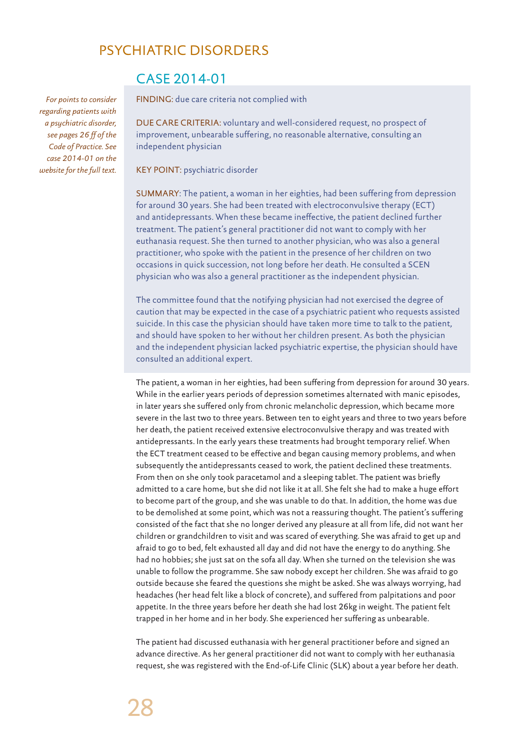# PSYCHIATRIC DISORDERS

*For points to consider regarding patients with a psychiatric disorder, see pages 26 ff of the Code of Practice. See case 2014-01 on the website for the full text.*

# CASE 2014-01

FINDING: due care criteria not complied with

DUE CARE CRITERIA: voluntary and well-considered request, no prospect of improvement, unbearable suffering, no reasonable alternative, consulting an independent physician

KEY POINT: psychiatric disorder

SUMMARY: The patient, a woman in her eighties, had been suffering from depression for around 30 years. She had been treated with electroconvulsive therapy (ECT) and antidepressants. When these became ineffective, the patient declined further treatment. The patient's general practitioner did not want to comply with her euthanasia request. She then turned to another physician, who was also a general practitioner, who spoke with the patient in the presence of her children on two occasions in quick succession, not long before her death. He consulted a SCEN physician who was also a general practitioner as the independent physician.

The committee found that the notifying physician had not exercised the degree of caution that may be expected in the case of a psychiatric patient who requests assisted suicide. In this case the physician should have taken more time to talk to the patient, and should have spoken to her without her children present. As both the physician and the independent physician lacked psychiatric expertise, the physician should have consulted an additional expert.

The patient, a woman in her eighties, had been suffering from depression for around 30 years. While in the earlier years periods of depression sometimes alternated with manic episodes, in later years she suffered only from chronic melancholic depression, which became more severe in the last two to three years. Between ten to eight years and three to two years before her death, the patient received extensive electroconvulsive therapy and was treated with antidepressants. In the early years these treatments had brought temporary relief. When the ECT treatment ceased to be effective and began causing memory problems, and when subsequently the antidepressants ceased to work, the patient declined these treatments. From then on she only took paracetamol and a sleeping tablet. The patient was briefly admitted to a care home, but she did not like it at all. She felt she had to make a huge effort to become part of the group, and she was unable to do that. In addition, the home was due to be demolished at some point, which was not a reassuring thought. The patient's suffering consisted of the fact that she no longer derived any pleasure at all from life, did not want her children or grandchildren to visit and was scared of everything. She was afraid to get up and afraid to go to bed, felt exhausted all day and did not have the energy to do anything. She had no hobbies; she just sat on the sofa all day. When she turned on the television she was unable to follow the programme. She saw nobody except her children. She was afraid to go outside because she feared the questions she might be asked. She was always worrying, had headaches (her head felt like a block of concrete), and suffered from palpitations and poor appetite. In the three years before her death she had lost 26kg in weight. The patient felt trapped in her home and in her body. She experienced her suffering as unbearable.

The patient had discussed euthanasia with her general practitioner before and signed an advance directive. As her general practitioner did not want to comply with her euthanasia request, she was registered with the End-of-Life Clinic (SLK) about a year before her death.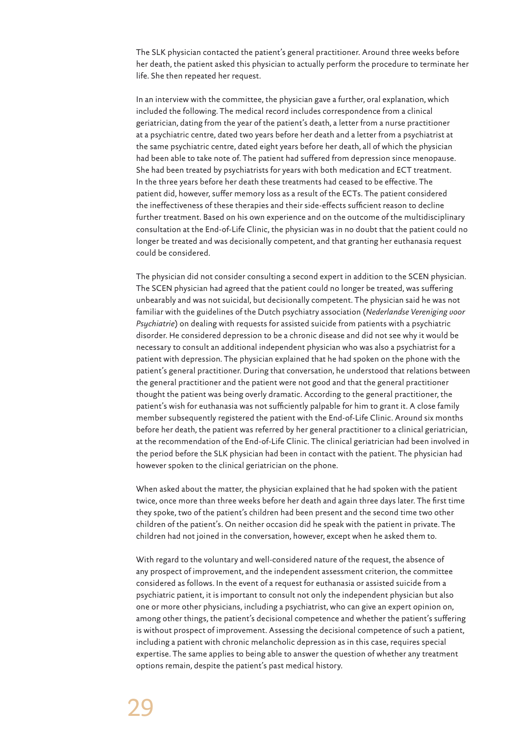The SLK physician contacted the patient's general practitioner. Around three weeks before her death, the patient asked this physician to actually perform the procedure to terminate her life. She then repeated her request.

In an interview with the committee, the physician gave a further, oral explanation, which included the following. The medical record includes correspondence from a clinical geriatrician, dating from the year of the patient's death, a letter from a nurse practitioner at a psychiatric centre, dated two years before her death and a letter from a psychiatrist at the same psychiatric centre, dated eight years before her death, all of which the physician had been able to take note of. The patient had suffered from depression since menopause. She had been treated by psychiatrists for years with both medication and ECT treatment. In the three years before her death these treatments had ceased to be effective. The patient did, however, suffer memory loss as a result of the ECTs. The patient considered the ineffectiveness of these therapies and their side-effects sufficient reason to decline further treatment. Based on his own experience and on the outcome of the multidisciplinary consultation at the End-of-Life Clinic, the physician was in no doubt that the patient could no longer be treated and was decisionally competent, and that granting her euthanasia request could be considered.

The physician did not consider consulting a second expert in addition to the SCEN physician. The SCEN physician had agreed that the patient could no longer be treated, was suffering unbearably and was not suicidal, but decisionally competent. The physician said he was not familiar with the guidelines of the Dutch psychiatry association (*Nederlandse Vereniging voor Psychiatrie*) on dealing with requests for assisted suicide from patients with a psychiatric disorder. He considered depression to be a chronic disease and did not see why it would be necessary to consult an additional independent physician who was also a psychiatrist for a patient with depression. The physician explained that he had spoken on the phone with the patient's general practitioner. During that conversation, he understood that relations between the general practitioner and the patient were not good and that the general practitioner thought the patient was being overly dramatic. According to the general practitioner, the patient's wish for euthanasia was not sufficiently palpable for him to grant it. A close family member subsequently registered the patient with the End-of-Life Clinic. Around six months before her death, the patient was referred by her general practitioner to a clinical geriatrician, at the recommendation of the End-of-Life Clinic. The clinical geriatrician had been involved in the period before the SLK physician had been in contact with the patient. The physician had however spoken to the clinical geriatrician on the phone.

When asked about the matter, the physician explained that he had spoken with the patient twice, once more than three weeks before her death and again three days later. The first time they spoke, two of the patient's children had been present and the second time two other children of the patient's. On neither occasion did he speak with the patient in private. The children had not joined in the conversation, however, except when he asked them to.

With regard to the voluntary and well-considered nature of the request, the absence of any prospect of improvement, and the independent assessment criterion, the committee considered as follows. In the event of a request for euthanasia or assisted suicide from a psychiatric patient, it is important to consult not only the independent physician but also one or more other physicians, including a psychiatrist, who can give an expert opinion on, among other things, the patient's decisional competence and whether the patient's suffering is without prospect of improvement. Assessing the decisional competence of such a patient, including a patient with chronic melancholic depression as in this case, requires special expertise. The same applies to being able to answer the question of whether any treatment options remain, despite the patient's past medical history.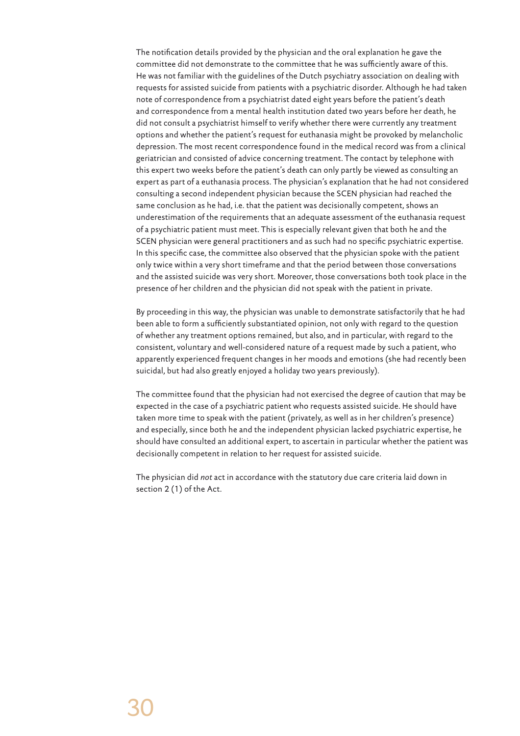The notification details provided by the physician and the oral explanation he gave the committee did not demonstrate to the committee that he was sufficiently aware of this. He was not familiar with the guidelines of the Dutch psychiatry association on dealing with requests for assisted suicide from patients with a psychiatric disorder. Although he had taken note of correspondence from a psychiatrist dated eight years before the patient's death and correspondence from a mental health institution dated two years before her death, he did not consult a psychiatrist himself to verify whether there were currently any treatment options and whether the patient's request for euthanasia might be provoked by melancholic depression. The most recent correspondence found in the medical record was from a clinical geriatrician and consisted of advice concerning treatment. The contact by telephone with this expert two weeks before the patient's death can only partly be viewed as consulting an expert as part of a euthanasia process. The physician's explanation that he had not considered consulting a second independent physician because the SCEN physician had reached the same conclusion as he had, i.e. that the patient was decisionally competent, shows an underestimation of the requirements that an adequate assessment of the euthanasia request of a psychiatric patient must meet. This is especially relevant given that both he and the SCEN physician were general practitioners and as such had no specific psychiatric expertise. In this specific case, the committee also observed that the physician spoke with the patient only twice within a very short timeframe and that the period between those conversations and the assisted suicide was very short. Moreover, those conversations both took place in the presence of her children and the physician did not speak with the patient in private.

By proceeding in this way, the physician was unable to demonstrate satisfactorily that he had been able to form a sufficiently substantiated opinion, not only with regard to the question of whether any treatment options remained, but also, and in particular, with regard to the consistent, voluntary and well-considered nature of a request made by such a patient, who apparently experienced frequent changes in her moods and emotions (she had recently been suicidal, but had also greatly enjoyed a holiday two years previously).

The committee found that the physician had not exercised the degree of caution that may be expected in the case of a psychiatric patient who requests assisted suicide. He should have taken more time to speak with the patient (privately, as well as in her children's presence) and especially, since both he and the independent physician lacked psychiatric expertise, he should have consulted an additional expert, to ascertain in particular whether the patient was decisionally competent in relation to her request for assisted suicide.

The physician did *not* act in accordance with the statutory due care criteria laid down in section 2 (1) of the Act.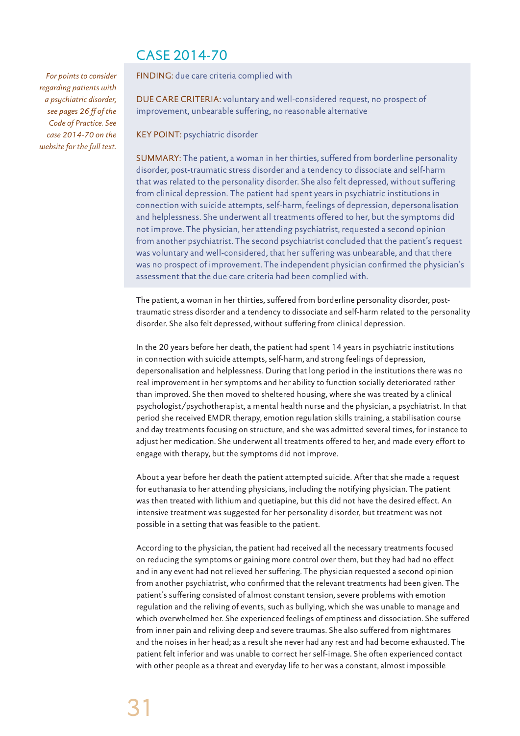# CASE 2014-70

*For points to consider regarding patients with a psychiatric disorder, see pages 26 ff of the Code of Practice. See case 2014-70 on the website for the full text.* FINDING: due care criteria complied with

DUE CARE CRITERIA: voluntary and well-considered request, no prospect of improvement, unbearable suffering, no reasonable alternative

KEY POINT: psychiatric disorder

SUMMARY: The patient, a woman in her thirties, suffered from borderline personality disorder, post-traumatic stress disorder and a tendency to dissociate and self-harm that was related to the personality disorder. She also felt depressed, without suffering from clinical depression. The patient had spent years in psychiatric institutions in connection with suicide attempts, self-harm, feelings of depression, depersonalisation and helplessness. She underwent all treatments offered to her, but the symptoms did not improve. The physician, her attending psychiatrist, requested a second opinion from another psychiatrist. The second psychiatrist concluded that the patient's request was voluntary and well-considered, that her suffering was unbearable, and that there was no prospect of improvement. The independent physician confirmed the physician's assessment that the due care criteria had been complied with.

The patient, a woman in her thirties, suffered from borderline personality disorder, posttraumatic stress disorder and a tendency to dissociate and self-harm related to the personality disorder. She also felt depressed, without suffering from clinical depression.

In the 20 years before her death, the patient had spent 14 years in psychiatric institutions in connection with suicide attempts, self-harm, and strong feelings of depression, depersonalisation and helplessness. During that long period in the institutions there was no real improvement in her symptoms and her ability to function socially deteriorated rather than improved. She then moved to sheltered housing, where she was treated by a clinical psychologist/psychotherapist, a mental health nurse and the physician, a psychiatrist. In that period she received EMDR therapy, emotion regulation skills training, a stabilisation course and day treatments focusing on structure, and she was admitted several times, for instance to adjust her medication. She underwent all treatments offered to her, and made every effort to engage with therapy, but the symptoms did not improve.

About a year before her death the patient attempted suicide. After that she made a request for euthanasia to her attending physicians, including the notifying physician. The patient was then treated with lithium and quetiapine, but this did not have the desired effect. An intensive treatment was suggested for her personality disorder, but treatment was not possible in a setting that was feasible to the patient.

According to the physician, the patient had received all the necessary treatments focused on reducing the symptoms or gaining more control over them, but they had had no effect and in any event had not relieved her suffering. The physician requested a second opinion from another psychiatrist, who confirmed that the relevant treatments had been given. The patient's suffering consisted of almost constant tension, severe problems with emotion regulation and the reliving of events, such as bullying, which she was unable to manage and which overwhelmed her. She experienced feelings of emptiness and dissociation. She suffered from inner pain and reliving deep and severe traumas. She also suffered from nightmares and the noises in her head; as a result she never had any rest and had become exhausted. The patient felt inferior and was unable to correct her self-image. She often experienced contact with other people as a threat and everyday life to her was a constant, almost impossible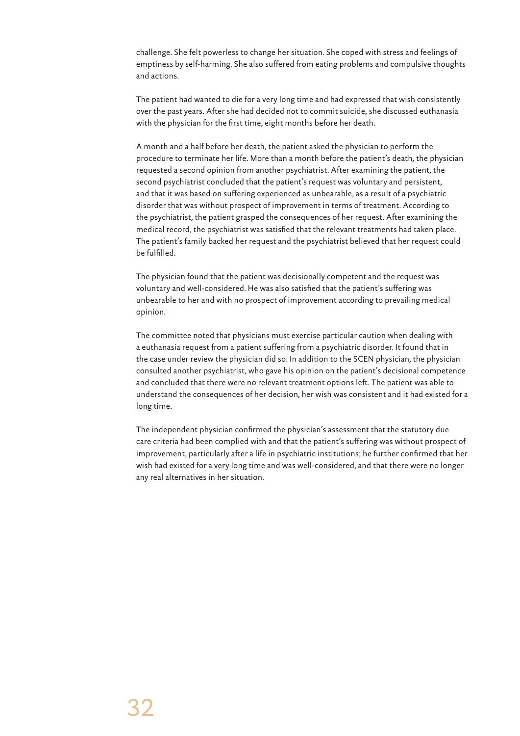challenge. She felt powerless to change her situation. She coped with stress and feelings of emptiness by self-harming. She also suffered from eating problems and compulsive thoughts and actions.

The patient had wanted to die for a very long time and had expressed that wish consistently over the past years. After she had decided not to commit suicide, she discussed euthanasia with the physician for the first time, eight months before her death.

A month and a half before her death, the patient asked the physician to perform the procedure to terminate her life. More than a month before the patient's death, the physician requested a second opinion from another psychiatrist. After examining the patient, the second psychiatrist concluded that the patient's request was voluntary and persistent, and that it was based on suffering experienced as unbearable, as a result of a psychiatric disorder that was without prospect of improvement in terms of treatment. According to the psychiatrist, the patient grasped the consequences of her request. After examining the medical record, the psychiatrist was satisfied that the relevant treatments had taken place. The patient's family backed her request and the psychiatrist believed that her request could be fulfilled.

The physician found that the patient was decisionally competent and the request was voluntary and well-considered. He was also satisfied that the patient's suffering was unbearable to her and with no prospect of improvement according to prevailing medical opinion.

The committee noted that physicians must exercise particular caution when dealing with a euthanasia request from a patient suffering from a psychiatric disorder. It found that in the case under review the physician did so. In addition to the SCEN physician, the physician consulted another psychiatrist, who gave his opinion on the patient's decisional competence and concluded that there were no relevant treatment options left. The patient was able to understand the consequences of her decision, her wish was consistent and it had existed for a long time.

The independent physician confirmed the physician's assessment that the statutory due care criteria had been complied with and that the patient's suffering was without prospect of improvement, particularly after a life in psychiatric institutions; he further confirmed that her wish had existed for a very long time and was well-considered, and that there were no longer any real alternatives in her situation.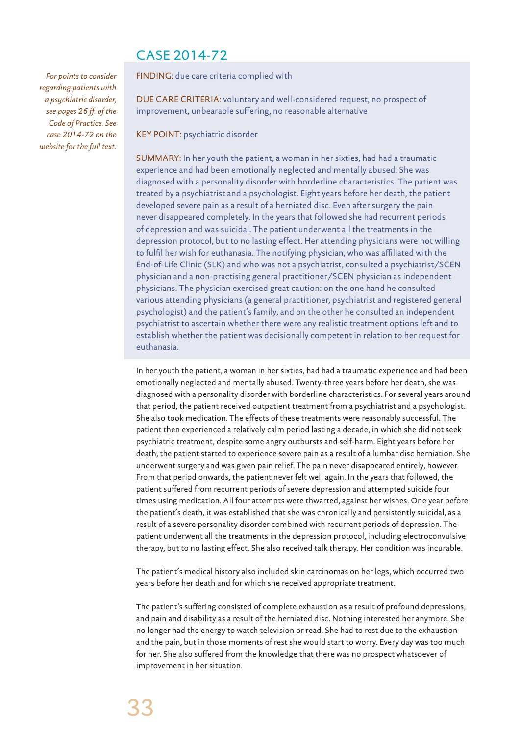# CASE 2014-72

*For points to consider regarding patients with a psychiatric disorder, see pages 26 ff. of the Code of Practice. See case 2014-72 on the website for the full text.* FINDING: due care criteria complied with

DUE CARE CRITERIA: voluntary and well-considered request, no prospect of improvement, unbearable suffering, no reasonable alternative

KEY POINT: psychiatric disorder

SUMMARY: In her youth the patient, a woman in her sixties, had had a traumatic experience and had been emotionally neglected and mentally abused. She was diagnosed with a personality disorder with borderline characteristics. The patient was treated by a psychiatrist and a psychologist. Eight years before her death, the patient developed severe pain as a result of a herniated disc. Even after surgery the pain never disappeared completely. In the years that followed she had recurrent periods of depression and was suicidal. The patient underwent all the treatments in the depression protocol, but to no lasting effect. Her attending physicians were not willing to fulfil her wish for euthanasia. The notifying physician, who was affiliated with the End-of-Life Clinic (SLK) and who was not a psychiatrist, consulted a psychiatrist/SCEN physician and a non-practising general practitioner/SCEN physician as independent physicians. The physician exercised great caution: on the one hand he consulted various attending physicians (a general practitioner, psychiatrist and registered general psychologist) and the patient's family, and on the other he consulted an independent psychiatrist to ascertain whether there were any realistic treatment options left and to establish whether the patient was decisionally competent in relation to her request for euthanasia.

In her youth the patient, a woman in her sixties, had had a traumatic experience and had been emotionally neglected and mentally abused. Twenty-three years before her death, she was diagnosed with a personality disorder with borderline characteristics. For several years around that period, the patient received outpatient treatment from a psychiatrist and a psychologist. She also took medication. The effects of these treatments were reasonably successful. The patient then experienced a relatively calm period lasting a decade, in which she did not seek psychiatric treatment, despite some angry outbursts and self-harm. Eight years before her death, the patient started to experience severe pain as a result of a lumbar disc herniation. She underwent surgery and was given pain relief. The pain never disappeared entirely, however. From that period onwards, the patient never felt well again. In the years that followed, the patient suffered from recurrent periods of severe depression and attempted suicide four times using medication. All four attempts were thwarted, against her wishes. One year before the patient's death, it was established that she was chronically and persistently suicidal, as a result of a severe personality disorder combined with recurrent periods of depression. The patient underwent all the treatments in the depression protocol, including electroconvulsive therapy, but to no lasting effect. She also received talk therapy. Her condition was incurable.

The patient's medical history also included skin carcinomas on her legs, which occurred two years before her death and for which she received appropriate treatment.

The patient's suffering consisted of complete exhaustion as a result of profound depressions, and pain and disability as a result of the herniated disc. Nothing interested her anymore. She no longer had the energy to watch television or read. She had to rest due to the exhaustion and the pain, but in those moments of rest she would start to worry. Every day was too much for her. She also suffered from the knowledge that there was no prospect whatsoever of improvement in her situation.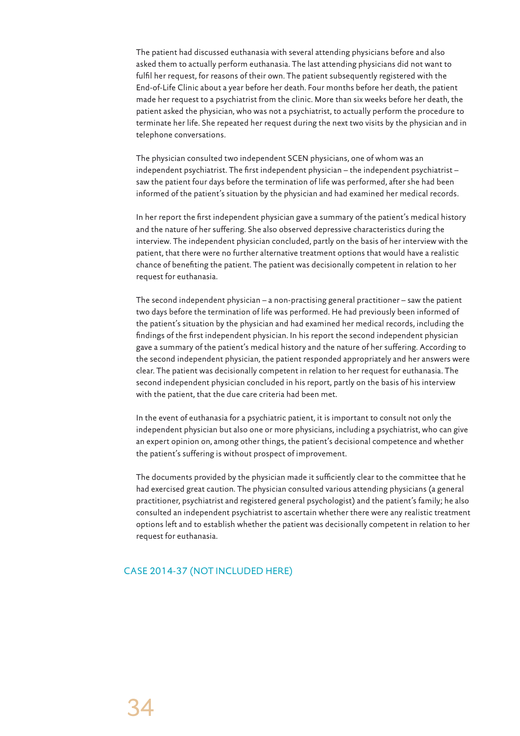The patient had discussed euthanasia with several attending physicians before and also asked them to actually perform euthanasia. The last attending physicians did not want to fulfil her request, for reasons of their own. The patient subsequently registered with the End-of-Life Clinic about a year before her death. Four months before her death, the patient made her request to a psychiatrist from the clinic. More than six weeks before her death, the patient asked the physician, who was not a psychiatrist, to actually perform the procedure to terminate her life. She repeated her request during the next two visits by the physician and in telephone conversations.

The physician consulted two independent SCEN physicians, one of whom was an independent psychiatrist. The first independent physician – the independent psychiatrist – saw the patient four days before the termination of life was performed, after she had been informed of the patient's situation by the physician and had examined her medical records.

In her report the first independent physician gave a summary of the patient's medical history and the nature of her suffering. She also observed depressive characteristics during the interview. The independent physician concluded, partly on the basis of her interview with the patient, that there were no further alternative treatment options that would have a realistic chance of benefiting the patient. The patient was decisionally competent in relation to her request for euthanasia.

The second independent physician – a non-practising general practitioner – saw the patient two days before the termination of life was performed. He had previously been informed of the patient's situation by the physician and had examined her medical records, including the findings of the first independent physician. In his report the second independent physician gave a summary of the patient's medical history and the nature of her suffering. According to the second independent physician, the patient responded appropriately and her answers were clear. The patient was decisionally competent in relation to her request for euthanasia. The second independent physician concluded in his report, partly on the basis of his interview with the patient, that the due care criteria had been met.

In the event of euthanasia for a psychiatric patient, it is important to consult not only the independent physician but also one or more physicians, including a psychiatrist, who can give an expert opinion on, among other things, the patient's decisional competence and whether the patient's suffering is without prospect of improvement.

The documents provided by the physician made it sufficiently clear to the committee that he had exercised great caution. The physician consulted various attending physicians (a general practitioner, psychiatrist and registered general psychologist) and the patient's family; he also consulted an independent psychiatrist to ascertain whether there were any realistic treatment options left and to establish whether the patient was decisionally competent in relation to her request for euthanasia.

### CASE 2014-37 (NOT INCLUDED HERE)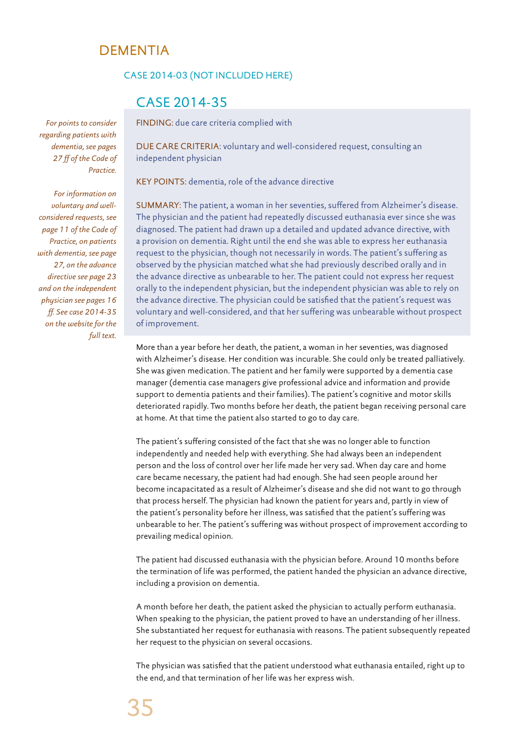# DEMENTIA

#### CASE 2014-03 (NOT INCLUDED HERE)

# CASE 2014-35

FINDING: due care criteria complied with

DUE CARE CRITERIA: voluntary and well-considered request, consulting an independent physician

KEY POINTS: dementia, role of the advance directive

SUMMARY: The patient, a woman in her seventies, suffered from Alzheimer's disease. The physician and the patient had repeatedly discussed euthanasia ever since she was diagnosed. The patient had drawn up a detailed and updated advance directive, with a provision on dementia. Right until the end she was able to express her euthanasia request to the physician, though not necessarily in words. The patient's suffering as observed by the physician matched what she had previously described orally and in the advance directive as unbearable to her. The patient could not express her request orally to the independent physician, but the independent physician was able to rely on the advance directive. The physician could be satisfied that the patient's request was voluntary and well-considered, and that her suffering was unbearable without prospect of improvement.

More than a year before her death, the patient, a woman in her seventies, was diagnosed with Alzheimer's disease. Her condition was incurable. She could only be treated palliatively. She was given medication. The patient and her family were supported by a dementia case manager (dementia case managers give professional advice and information and provide support to dementia patients and their families). The patient's cognitive and motor skills deteriorated rapidly. Two months before her death, the patient began receiving personal care at home. At that time the patient also started to go to day care.

The patient's suffering consisted of the fact that she was no longer able to function independently and needed help with everything. She had always been an independent person and the loss of control over her life made her very sad. When day care and home care became necessary, the patient had had enough. She had seen people around her become incapacitated as a result of Alzheimer's disease and she did not want to go through that process herself. The physician had known the patient for years and, partly in view of the patient's personality before her illness, was satisfied that the patient's suffering was unbearable to her. The patient's suffering was without prospect of improvement according to prevailing medical opinion.

The patient had discussed euthanasia with the physician before. Around 10 months before the termination of life was performed, the patient handed the physician an advance directive, including a provision on dementia.

A month before her death, the patient asked the physician to actually perform euthanasia. When speaking to the physician, the patient proved to have an understanding of her illness. She substantiated her request for euthanasia with reasons. The patient subsequently repeated her request to the physician on several occasions.

The physician was satisfied that the patient understood what euthanasia entailed, right up to the end, and that termination of her life was her express wish.

*For points to consider regarding patients with dementia, see pages 27 ff of the Code of Practice.* 

*For information on voluntary and wellconsidered requests, see page 11 of the Code of Practice, on patients with dementia, see page 27, on the advance directive see page 23 and on the independent physician see pages 16 ff. See case 2014-35 on the website for the full text.*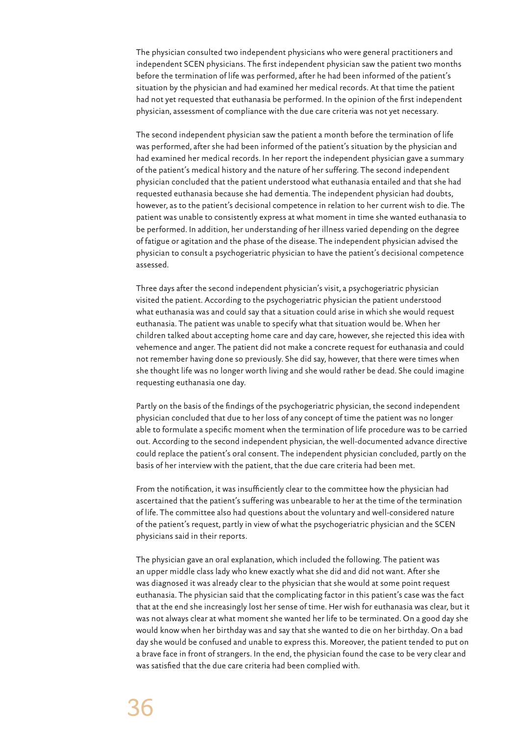The physician consulted two independent physicians who were general practitioners and independent SCEN physicians. The first independent physician saw the patient two months before the termination of life was performed, after he had been informed of the patient's situation by the physician and had examined her medical records. At that time the patient had not yet requested that euthanasia be performed. In the opinion of the first independent physician, assessment of compliance with the due care criteria was not yet necessary.

The second independent physician saw the patient a month before the termination of life was performed, after she had been informed of the patient's situation by the physician and had examined her medical records. In her report the independent physician gave a summary of the patient's medical history and the nature of her suffering. The second independent physician concluded that the patient understood what euthanasia entailed and that she had requested euthanasia because she had dementia. The independent physician had doubts, however, as to the patient's decisional competence in relation to her current wish to die. The patient was unable to consistently express at what moment in time she wanted euthanasia to be performed. In addition, her understanding of her illness varied depending on the degree of fatigue or agitation and the phase of the disease. The independent physician advised the physician to consult a psychogeriatric physician to have the patient's decisional competence assessed.

Three days after the second independent physician's visit, a psychogeriatric physician visited the patient. According to the psychogeriatric physician the patient understood what euthanasia was and could say that a situation could arise in which she would request euthanasia. The patient was unable to specify what that situation would be. When her children talked about accepting home care and day care, however, she rejected this idea with vehemence and anger. The patient did not make a concrete request for euthanasia and could not remember having done so previously. She did say, however, that there were times when she thought life was no longer worth living and she would rather be dead. She could imagine requesting euthanasia one day.

Partly on the basis of the findings of the psychogeriatric physician, the second independent physician concluded that due to her loss of any concept of time the patient was no longer able to formulate a specific moment when the termination of life procedure was to be carried out. According to the second independent physician, the well-documented advance directive could replace the patient's oral consent. The independent physician concluded, partly on the basis of her interview with the patient, that the due care criteria had been met.

From the notification, it was insufficiently clear to the committee how the physician had ascertained that the patient's suffering was unbearable to her at the time of the termination of life. The committee also had questions about the voluntary and well-considered nature of the patient's request, partly in view of what the psychogeriatric physician and the SCEN physicians said in their reports.

The physician gave an oral explanation, which included the following. The patient was an upper middle class lady who knew exactly what she did and did not want. After she was diagnosed it was already clear to the physician that she would at some point request euthanasia. The physician said that the complicating factor in this patient's case was the fact that at the end she increasingly lost her sense of time. Her wish for euthanasia was clear, but it was not always clear at what moment she wanted her life to be terminated. On a good day she would know when her birthday was and say that she wanted to die on her birthday. On a bad day she would be confused and unable to express this. Moreover, the patient tended to put on a brave face in front of strangers. In the end, the physician found the case to be very clear and was satisfied that the due care criteria had been complied with.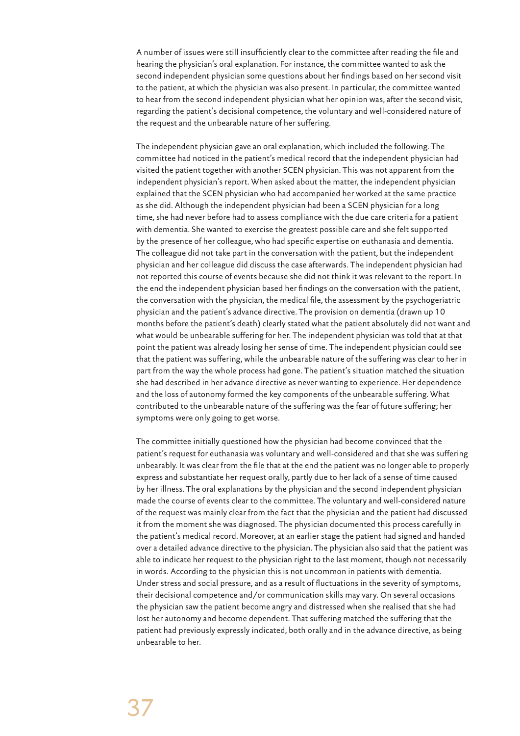A number of issues were still insufficiently clear to the committee after reading the file and hearing the physician's oral explanation. For instance, the committee wanted to ask the second independent physician some questions about her findings based on her second visit to the patient, at which the physician was also present. In particular, the committee wanted to hear from the second independent physician what her opinion was, after the second visit, regarding the patient's decisional competence, the voluntary and well-considered nature of the request and the unbearable nature of her suffering.

The independent physician gave an oral explanation, which included the following. The committee had noticed in the patient's medical record that the independent physician had visited the patient together with another SCEN physician. This was not apparent from the independent physician's report. When asked about the matter, the independent physician explained that the SCEN physician who had accompanied her worked at the same practice as she did. Although the independent physician had been a SCEN physician for a long time, she had never before had to assess compliance with the due care criteria for a patient with dementia. She wanted to exercise the greatest possible care and she felt supported by the presence of her colleague, who had specific expertise on euthanasia and dementia. The colleague did not take part in the conversation with the patient, but the independent physician and her colleague did discuss the case afterwards. The independent physician had not reported this course of events because she did not think it was relevant to the report. In the end the independent physician based her findings on the conversation with the patient, the conversation with the physician, the medical file, the assessment by the psychogeriatric physician and the patient's advance directive. The provision on dementia (drawn up 10 months before the patient's death) clearly stated what the patient absolutely did not want and what would be unbearable suffering for her. The independent physician was told that at that point the patient was already losing her sense of time. The independent physician could see that the patient was suffering, while the unbearable nature of the suffering was clear to her in part from the way the whole process had gone. The patient's situation matched the situation she had described in her advance directive as never wanting to experience. Her dependence and the loss of autonomy formed the key components of the unbearable suffering. What contributed to the unbearable nature of the suffering was the fear of future suffering; her symptoms were only going to get worse.

The committee initially questioned how the physician had become convinced that the patient's request for euthanasia was voluntary and well-considered and that she was suffering unbearably. It was clear from the file that at the end the patient was no longer able to properly express and substantiate her request orally, partly due to her lack of a sense of time caused by her illness. The oral explanations by the physician and the second independent physician made the course of events clear to the committee. The voluntary and well-considered nature of the request was mainly clear from the fact that the physician and the patient had discussed it from the moment she was diagnosed. The physician documented this process carefully in the patient's medical record. Moreover, at an earlier stage the patient had signed and handed over a detailed advance directive to the physician. The physician also said that the patient was able to indicate her request to the physician right to the last moment, though not necessarily in words. According to the physician this is not uncommon in patients with dementia. Under stress and social pressure, and as a result of fluctuations in the severity of symptoms, their decisional competence and/or communication skills may vary. On several occasions the physician saw the patient become angry and distressed when she realised that she had lost her autonomy and become dependent. That suffering matched the suffering that the patient had previously expressly indicated, both orally and in the advance directive, as being unbearable to her.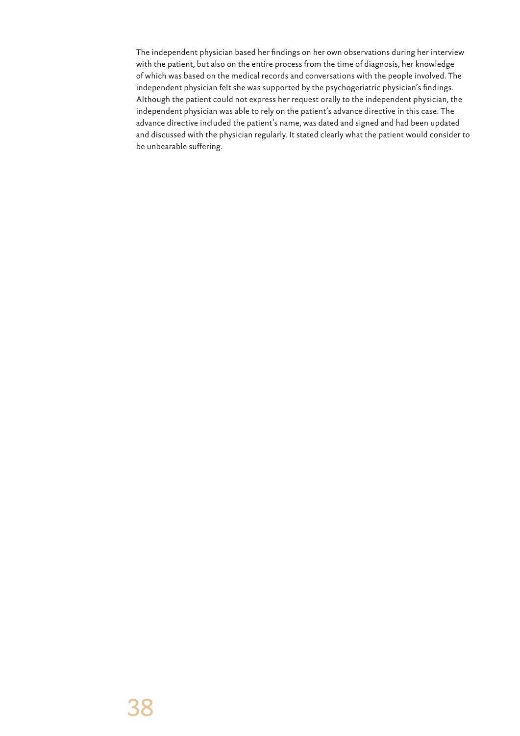The independent physician based her findings on her own observations during her interview with the patient, but also on the entire process from the time of diagnosis, her knowledge of which was based on the medical records and conversations with the people involved. The independent physician felt she was supported by the psychogeriatric physician's findings. Although the patient could not express her request orally to the independent physician, the independent physician was able to rely on the patient's advance directive in this case. The advance directive included the patient's name, was dated and signed and had been updated and discussed with the physician regularly. It stated clearly what the patient would consider to be unbearable suffering.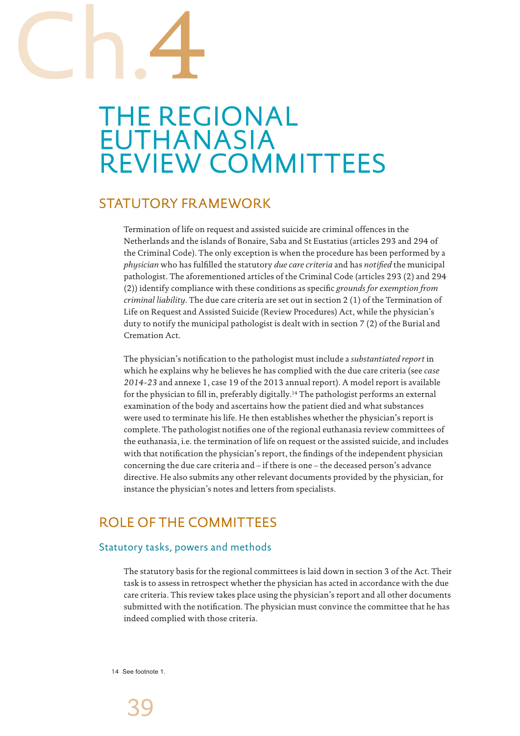# Ch.4

# THE REGIONAL EUTHANASIA REVIEW COMMITTEES

# STATUTORY FRAMEWORK

Termination of life on request and assisted suicide are criminal offences in the Netherlands and the islands of Bonaire, Saba and St Eustatius (articles 293 and 294 of the Criminal Code). The only exception is when the procedure has been performed by a *physician* who has fulfilled the statutory *due care criteria* and has *notified* the municipal pathologist. The aforementioned articles of the Criminal Code (articles 293 (2) and 294 (2)) identify compliance with these conditions as specific *grounds for exemption from criminal liability*. The due care criteria are set out in section 2 (1) of the Termination of Life on Request and Assisted Suicide (Review Procedures) Act, while the physician's duty to notify the municipal pathologist is dealt with in section 7 (2) of the Burial and Cremation Act.

The physician's notification to the pathologist must include a *substantiated report* in which he explains why he believes he has complied with the due care criteria (see *case 2014-23* and annexe 1, case 19 of the 2013 annual report). A model report is available for the physician to fill in, preferably digitally.<sup>14</sup> The pathologist performs an external examination of the body and ascertains how the patient died and what substances were used to terminate his life. He then establishes whether the physician's report is complete. The pathologist notifies one of the regional euthanasia review committees of the euthanasia, i.e. the termination of life on request or the assisted suicide, and includes with that notification the physician's report, the findings of the independent physician concerning the due care criteria and – if there is one – the deceased person's advance directive. He also submits any other relevant documents provided by the physician, for instance the physician's notes and letters from specialists.

# ROLE OF THE COMMITTEES

# Statutory tasks, powers and methods

The statutory basis for the regional committees is laid down in section 3 of the Act. Their task is to assess in retrospect whether the physician has acted in accordance with the due care criteria. This review takes place using the physician's report and all other documents submitted with the notification. The physician must convince the committee that he has indeed complied with those criteria.

14 See footnote 1.

39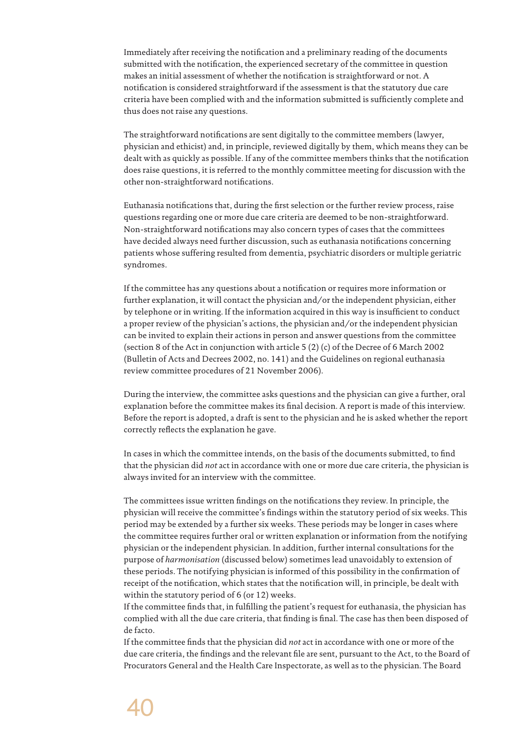Immediately after receiving the notification and a preliminary reading of the documents submitted with the notification, the experienced secretary of the committee in question makes an initial assessment of whether the notification is straightforward or not. A notification is considered straightforward if the assessment is that the statutory due care criteria have been complied with and the information submitted is sufficiently complete and thus does not raise any questions.

The straightforward notifications are sent digitally to the committee members (lawyer, physician and ethicist) and, in principle, reviewed digitally by them, which means they can be dealt with as quickly as possible. If any of the committee members thinks that the notification does raise questions, it is referred to the monthly committee meeting for discussion with the other non-straightforward notifications.

Euthanasia notifications that, during the first selection or the further review process, raise questions regarding one or more due care criteria are deemed to be non-straightforward. Non-straightforward notifications may also concern types of cases that the committees have decided always need further discussion, such as euthanasia notifications concerning patients whose suffering resulted from dementia, psychiatric disorders or multiple geriatric syndromes.

If the committee has any questions about a notification or requires more information or further explanation, it will contact the physician and/or the independent physician, either by telephone or in writing. If the information acquired in this way is insufficient to conduct a proper review of the physician's actions, the physician and/or the independent physician can be invited to explain their actions in person and answer questions from the committee (section 8 of the Act in conjunction with article 5 (2) (c) of the Decree of 6 March 2002 (Bulletin of Acts and Decrees 2002, no. 141) and the Guidelines on regional euthanasia review committee procedures of 21 November 2006).

During the interview, the committee asks questions and the physician can give a further, oral explanation before the committee makes its final decision. A report is made of this interview. Before the report is adopted, a draft is sent to the physician and he is asked whether the report correctly reflects the explanation he gave.

In cases in which the committee intends, on the basis of the documents submitted, to find that the physician did *not* act in accordance with one or more due care criteria, the physician is always invited for an interview with the committee.

The committees issue written findings on the notifications they review. In principle, the physician will receive the committee's findings within the statutory period of six weeks. This period may be extended by a further six weeks. These periods may be longer in cases where the committee requires further oral or written explanation or information from the notifying physician or the independent physician. In addition, further internal consultations for the purpose of *harmonisation* (discussed below) sometimes lead unavoidably to extension of these periods. The notifying physician is informed of this possibility in the confirmation of receipt of the notification, which states that the notification will, in principle, be dealt with within the statutory period of 6 (or 12) weeks.

If the committee finds that, in fulfilling the patient's request for euthanasia, the physician has complied with all the due care criteria, that finding is final. The case has then been disposed of de facto.

If the committee finds that the physician did *not* act in accordance with one or more of the due care criteria, the findings and the relevant file are sent, pursuant to the Act, to the Board of Procurators General and the Health Care Inspectorate, as well as to the physician. The Board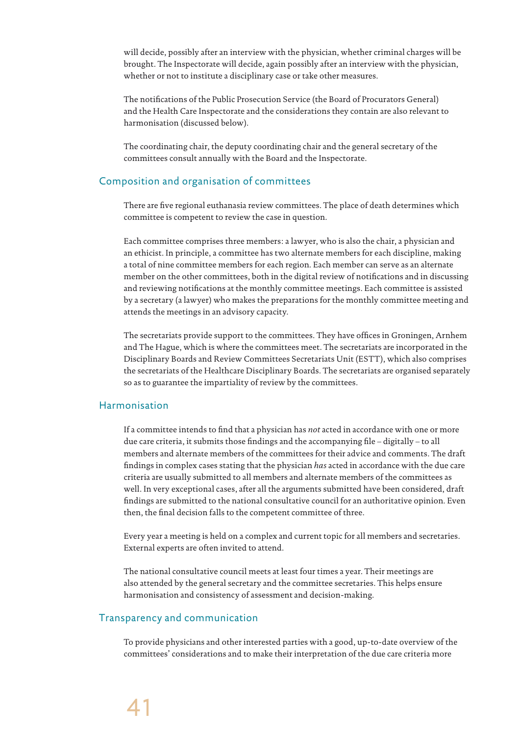will decide, possibly after an interview with the physician, whether criminal charges will be brought. The Inspectorate will decide, again possibly after an interview with the physician, whether or not to institute a disciplinary case or take other measures.

The notifications of the Public Prosecution Service (the Board of Procurators General) and the Health Care Inspectorate and the considerations they contain are also relevant to harmonisation (discussed below).

The coordinating chair, the deputy coordinating chair and the general secretary of the committees consult annually with the Board and the Inspectorate.

## Composition and organisation of committees

There are five regional euthanasia review committees. The place of death determines which committee is competent to review the case in question.

Each committee comprises three members: a lawyer, who is also the chair, a physician and an ethicist. In principle, a committee has two alternate members for each discipline, making a total of nine committee members for each region. Each member can serve as an alternate member on the other committees, both in the digital review of notifications and in discussing and reviewing notifications at the monthly committee meetings. Each committee is assisted by a secretary (a lawyer) who makes the preparations for the monthly committee meeting and attends the meetings in an advisory capacity.

The secretariats provide support to the committees. They have offices in Groningen, Arnhem and The Hague, which is where the committees meet. The secretariats are incorporated in the Disciplinary Boards and Review Committees Secretariats Unit (ESTT), which also comprises the secretariats of the Healthcare Disciplinary Boards. The secretariats are organised separately so as to guarantee the impartiality of review by the committees.

### Harmonisation

If a committee intends to find that a physician has *not* acted in accordance with one or more due care criteria, it submits those findings and the accompanying file – digitally – to all members and alternate members of the committees for their advice and comments. The draft findings in complex cases stating that the physician *has* acted in accordance with the due care criteria are usually submitted to all members and alternate members of the committees as well. In very exceptional cases, after all the arguments submitted have been considered, draft findings are submitted to the national consultative council for an authoritative opinion. Even then, the final decision falls to the competent committee of three.

Every year a meeting is held on a complex and current topic for all members and secretaries. External experts are often invited to attend.

The national consultative council meets at least four times a year. Their meetings are also attended by the general secretary and the committee secretaries. This helps ensure harmonisation and consistency of assessment and decision-making.

#### Transparency and communication

To provide physicians and other interested parties with a good, up-to-date overview of the committees' considerations and to make their interpretation of the due care criteria more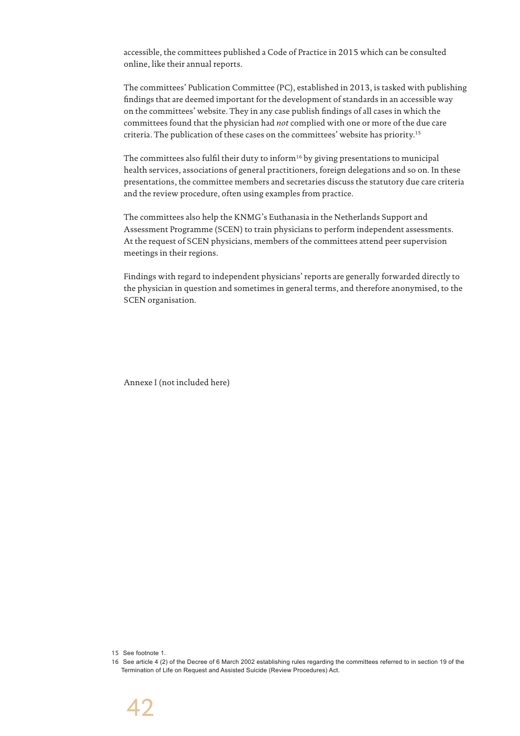accessible, the committees published a Code of Practice in 2015 which can be consulted online, like their annual reports.

The committees' Publication Committee (PC), established in 2013, is tasked with publishing findings that are deemed important for the development of standards in an accessible way on the committees' website. They in any case publish findings of all cases in which the committees found that the physician had *not* complied with one or more of the due care criteria. The publication of these cases on the committees' website has priority.15

The committees also fulfil their duty to inform<sup>16</sup> by giving presentations to municipal health services, associations of general practitioners, foreign delegations and so on. In these presentations, the committee members and secretaries discuss the statutory due care criteria and the review procedure, often using examples from practice.

The committees also help the KNMG's Euthanasia in the Netherlands Support and Assessment Programme (SCEN) to train physicians to perform independent assessments. At the request of SCEN physicians, members of the committees attend peer supervision meetings in their regions.

Findings with regard to independent physicians' reports are generally forwarded directly to the physician in question and sometimes in general terms, and therefore anonymised, to the SCEN organisation.

Annexe I (not included here)

15 See footnote 1.

<sup>16</sup> See article 4 (2) of the Decree of 6 March 2002 establishing rules regarding the committees referred to in section 19 of the Termination of Life on Request and Assisted Suicide (Review Procedures) Act.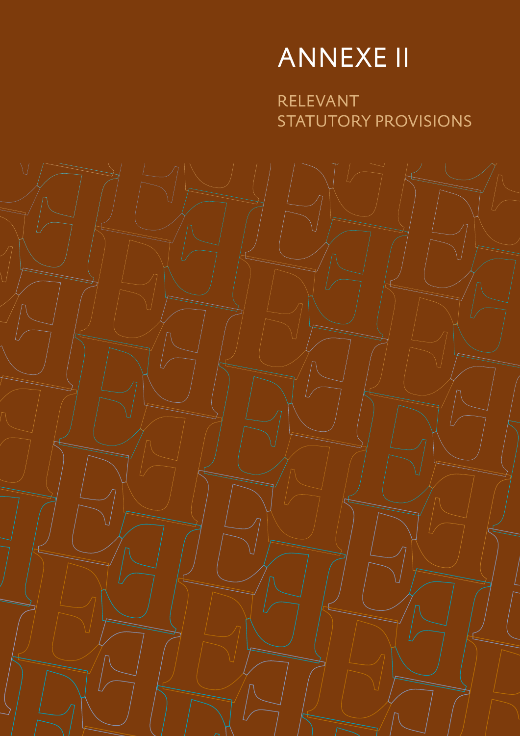# ANNEXE II

RELEVANT STATUTORY PROVISIONS

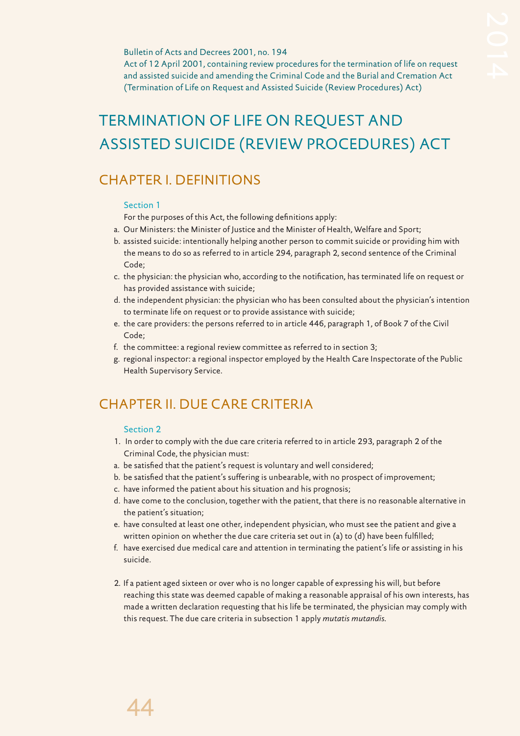#### Bulletin of Acts and Decrees 2001, no. 194

Act of 12 April 2001, containing review procedures for the termination of life on request and assisted suicide and amending the Criminal Code and the Burial and Cremation Act (Termination of Life on Request and Assisted Suicide (Review Procedures) Act)

# TERMINATION OF LIFE ON REQUEST AND ASSISTED SUICIDE (REVIEW PROCEDURES) ACT

# CHAPTER I. DEFINITIONS

#### Section 1

For the purposes of this Act, the following definitions apply:

- a. Our Ministers: the Minister of Justice and the Minister of Health, Welfare and Sport;
- b. assisted suicide: intentionally helping another person to commit suicide or providing him with the means to do so as referred to in article 294, paragraph 2, second sentence of the Criminal Code;
- c. the physician: the physician who, according to the notification, has terminated life on request or has provided assistance with suicide;
- d. the independent physician: the physician who has been consulted about the physician's intention to terminate life on request or to provide assistance with suicide;
- e. the care providers: the persons referred to in article 446, paragraph 1, of Book 7 of the Civil Code;
- f. the committee: a regional review committee as referred to in section 3;
- g. regional inspector: a regional inspector employed by the Health Care Inspectorate of the Public Health Supervisory Service.

# CHAPTER II. DUE CARE CRITERIA

#### Section 2

- 1. In order to comply with the due care criteria referred to in article 293, paragraph 2 of the Criminal Code, the physician must:
- a. be satisfied that the patient's request is voluntary and well considered;
- b. be satisfied that the patient's suffering is unbearable, with no prospect of improvement;
- c. have informed the patient about his situation and his prognosis;
- d. have come to the conclusion, together with the patient, that there is no reasonable alternative in the patient's situation;
- e. have consulted at least one other, independent physician, who must see the patient and give a written opinion on whether the due care criteria set out in (a) to (d) have been fulfilled;
- f. have exercised due medical care and attention in terminating the patient's life or assisting in his suicide.
- 2. If a patient aged sixteen or over who is no longer capable of expressing his will, but before reaching this state was deemed capable of making a reasonable appraisal of his own interests, has made a written declaration requesting that his life be terminated, the physician may comply with this request. The due care criteria in subsection 1 apply *mutatis mutandis*.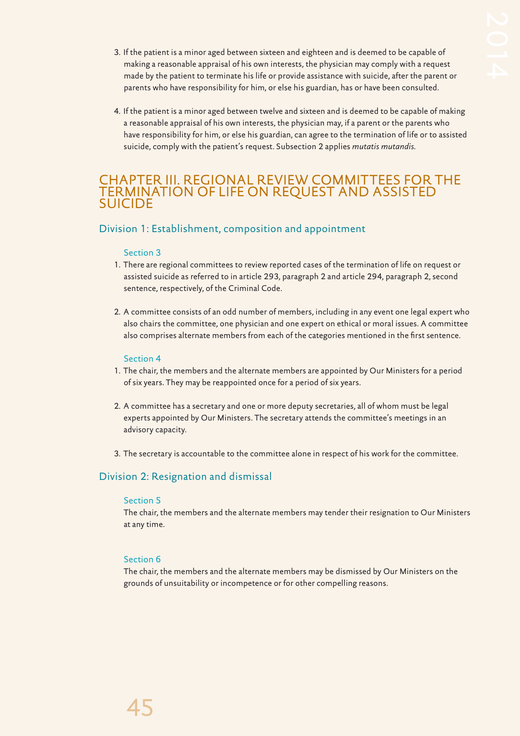- 3. If the patient is a minor aged between sixteen and eighteen and is deemed to be capable of making a reasonable appraisal of his own interests, the physician may comply with a request made by the patient to terminate his life or provide assistance with suicide, after the parent or parents who have responsibility for him, or else his guardian, has or have been consulted.
- 4. If the patient is a minor aged between twelve and sixteen and is deemed to be capable of making a reasonable appraisal of his own interests, the physician may, if a parent or the parents who have responsibility for him, or else his guardian, can agree to the termination of life or to assisted suicide, comply with the patient's request. Subsection 2 applies *mutatis mutandis*.

# CHAPTER III. REGIONAL REVIEW COMMITTEES FOR THE TERMINATION OF LIFE ON REQUEST AND ASSISTED SUICIDE

# Division 1: Establishment, composition and appointment

### Section 3

- 1. There are regional committees to review reported cases of the termination of life on request or assisted suicide as referred to in article 293, paragraph 2 and article 294, paragraph 2, second sentence, respectively, of the Criminal Code.
- 2. A committee consists of an odd number of members, including in any event one legal expert who also chairs the committee, one physician and one expert on ethical or moral issues. A committee also comprises alternate members from each of the categories mentioned in the first sentence.

#### Section 4

- 1. The chair, the members and the alternate members are appointed by Our Ministers for a period of six years. They may be reappointed once for a period of six years.
- 2. A committee has a secretary and one or more deputy secretaries, all of whom must be legal experts appointed by Our Ministers. The secretary attends the committee's meetings in an advisory capacity.
- 3. The secretary is accountable to the committee alone in respect of his work for the committee.

# Division 2: Resignation and dismissal

### Section 5

The chair, the members and the alternate members may tender their resignation to Our Ministers at any time.

# Section 6

The chair, the members and the alternate members may be dismissed by Our Ministers on the grounds of unsuitability or incompetence or for other compelling reasons.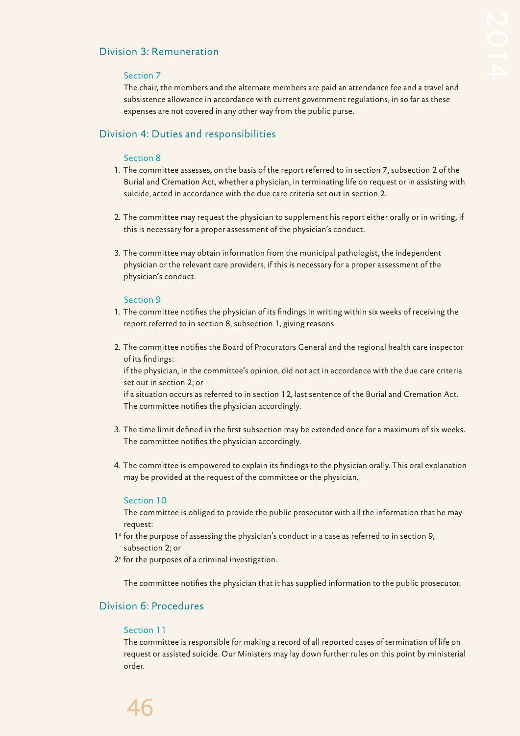# Division 3: Remuneration

#### Section 7

The chair, the members and the alternate members are paid an attendance fee and a travel and subsistence allowance in accordance with current government regulations, in so far as these expenses are not covered in any other way from the public purse.

# Division 4: Duties and responsibilities

#### Section 8

- 1. The committee assesses, on the basis of the report referred to in section 7, subsection 2 of the Burial and Cremation Act, whether a physician, in terminating life on request or in assisting with suicide, acted in accordance with the due care criteria set out in section 2.
- 2. The committee may request the physician to supplement his report either orally or in writing, if this is necessary for a proper assessment of the physician's conduct.
- 3. The committee may obtain information from the municipal pathologist, the independent physician or the relevant care providers, if this is necessary for a proper assessment of the physician's conduct.

#### Section 9

- 1. The committee notifies the physician of its findings in writing within six weeks of receiving the report referred to in section 8, subsection 1, giving reasons.
- 2. The committee notifies the Board of Procurators General and the regional health care inspector of its findings:

if the physician, in the committee's opinion, did not act in accordance with the due care criteria set out in section 2; or

if a situation occurs as referred to in section 12, last sentence of the Burial and Cremation Act. The committee notifies the physician accordingly.

- 3. The time limit defined in the first subsection may be extended once for a maximum of six weeks. The committee notifies the physician accordingly.
- 4. The committee is empowered to explain its findings to the physician orally. This oral explanation may be provided at the request of the committee or the physician.

#### Section 10

The committee is obliged to provide the public prosecutor with all the information that he may request:

- 1° for the purpose of assessing the physician's conduct in a case as referred to in section 9, subsection 2; or
- 2° for the purposes of a criminal investigation.

The committee notifies the physician that it has supplied information to the public prosecutor.

# Division 6: Procedures

#### Section 11

The committee is responsible for making a record of all reported cases of termination of life on request or assisted suicide. Our Ministers may lay down further rules on this point by ministerial order.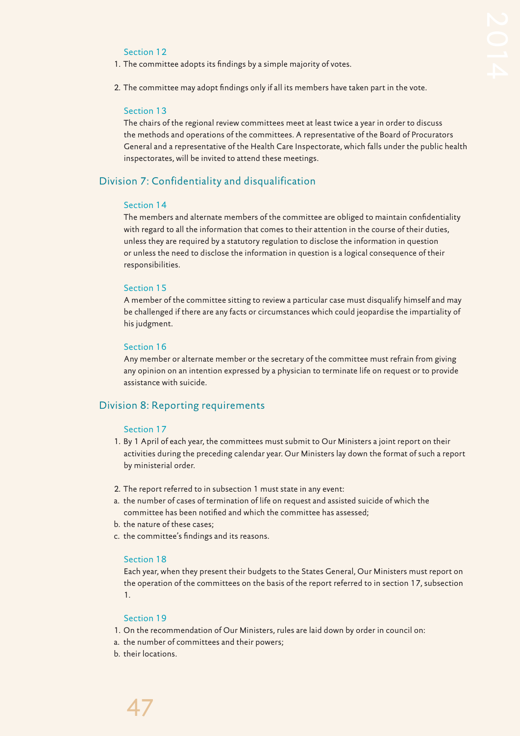#### Section 12

- 1. The committee adopts its findings by a simple majority of votes.
- 2. The committee may adopt findings only if all its members have taken part in the vote.

#### Section 13

The chairs of the regional review committees meet at least twice a year in order to discuss the methods and operations of the committees. A representative of the Board of Procurators General and a representative of the Health Care Inspectorate, which falls under the public health inspectorates, will be invited to attend these meetings.

#### Division 7: Confidentiality and disqualification

#### Section 14

The members and alternate members of the committee are obliged to maintain confidentiality with regard to all the information that comes to their attention in the course of their duties, unless they are required by a statutory regulation to disclose the information in question or unless the need to disclose the information in question is a logical consequence of their responsibilities.

#### Section 15

A member of the committee sitting to review a particular case must disqualify himself and may be challenged if there are any facts or circumstances which could jeopardise the impartiality of his judgment.

#### Section 16

Any member or alternate member or the secretary of the committee must refrain from giving any opinion on an intention expressed by a physician to terminate life on request or to provide assistance with suicide.

### Division 8: Reporting requirements

#### Section 17

- 1. By 1 April of each year, the committees must submit to Our Ministers a joint report on their activities during the preceding calendar year. Our Ministers lay down the format of such a report by ministerial order.
- 2. The report referred to in subsection 1 must state in any event:
- a. the number of cases of termination of life on request and assisted suicide of which the committee has been notified and which the committee has assessed;
- b. the nature of these cases;
- c. the committee's findings and its reasons.

#### Section 18

Each year, when they present their budgets to the States General, Our Ministers must report on the operation of the committees on the basis of the report referred to in section 17, subsection 1.

#### Section 19

- 1. On the recommendation of Our Ministers, rules are laid down by order in council on:
- a. the number of committees and their powers;
- b. their locations.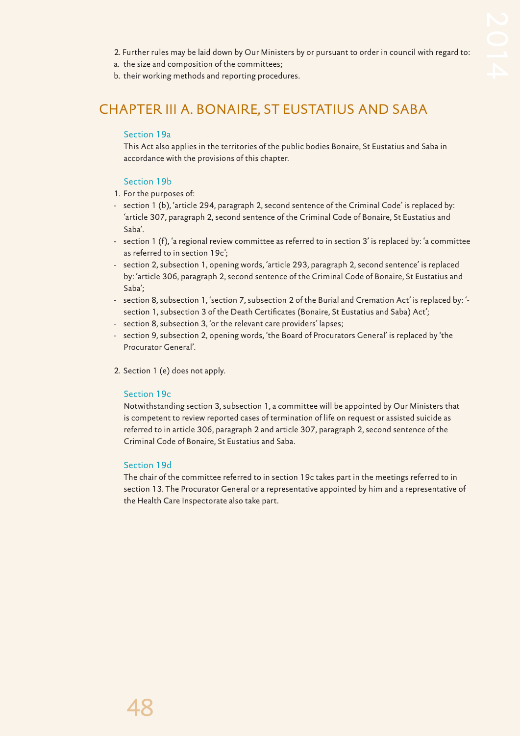- 2. Further rules may be laid down by Our Ministers by or pursuant to order in council with regard to:
- a. the size and composition of the committees;
- b. their working methods and reporting procedures.

# CHAPTER III A. BONAIRE, ST EUSTATIUS AND SABA

# Section 19a

This Act also applies in the territories of the public bodies Bonaire, St Eustatius and Saba in accordance with the provisions of this chapter.

# Section 19b

- 1. For the purposes of:
- section 1 (b), 'article 294, paragraph 2, second sentence of the Criminal Code' is replaced by: 'article 307, paragraph 2, second sentence of the Criminal Code of Bonaire, St Eustatius and Saba'.
- section 1 (f), 'a regional review committee as referred to in section 3' is replaced by: 'a committee as referred to in section 19c';
- section 2, subsection 1, opening words, 'article 293, paragraph 2, second sentence' is replaced by: 'article 306, paragraph 2, second sentence of the Criminal Code of Bonaire, St Eustatius and Saba';
- section 8, subsection 1, 'section 7, subsection 2 of the Burial and Cremation Act' is replaced by: 'section 1, subsection 3 of the Death Certificates (Bonaire, St Eustatius and Saba) Act';
- section 8, subsection 3, 'or the relevant care providers' lapses;
- section 9, subsection 2, opening words, 'the Board of Procurators General' is replaced by 'the Procurator General'.
- 2. Section 1 (e) does not apply.

### Section 19c

Notwithstanding section 3, subsection 1, a committee will be appointed by Our Ministers that is competent to review reported cases of termination of life on request or assisted suicide as referred to in article 306, paragraph 2 and article 307, paragraph 2, second sentence of the Criminal Code of Bonaire, St Eustatius and Saba.

### Section 19d

The chair of the committee referred to in section 19c takes part in the meetings referred to in section 13. The Procurator General or a representative appointed by him and a representative of the Health Care Inspectorate also take part.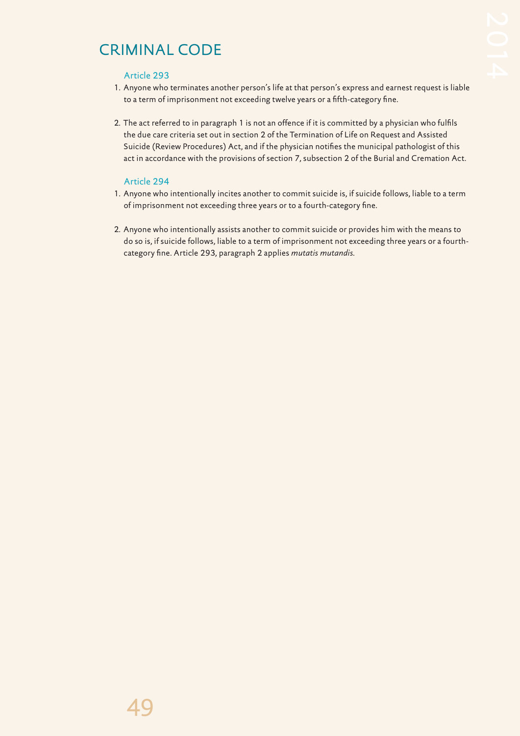# CRIMINAL CODE

#### Article 293

- 1. Anyone who terminates another person's life at that person's express and earnest request is liable to a term of imprisonment not exceeding twelve years or a fifth-category fine.
- 2. The act referred to in paragraph 1 is not an offence if it is committed by a physician who fulfils the due care criteria set out in section 2 of the Termination of Life on Request and Assisted Suicide (Review Procedures) Act, and if the physician notifies the municipal pathologist of this act in accordance with the provisions of section 7, subsection 2 of the Burial and Cremation Act.

### Article 294

- 1. Anyone who intentionally incites another to commit suicide is, if suicide follows, liable to a term of imprisonment not exceeding three years or to a fourth-category fine.
- 2. Anyone who intentionally assists another to commit suicide or provides him with the means to do so is, if suicide follows, liable to a term of imprisonment not exceeding three years or a fourthcategory fine. Article 293, paragraph 2 applies *mutatis mutandis*.